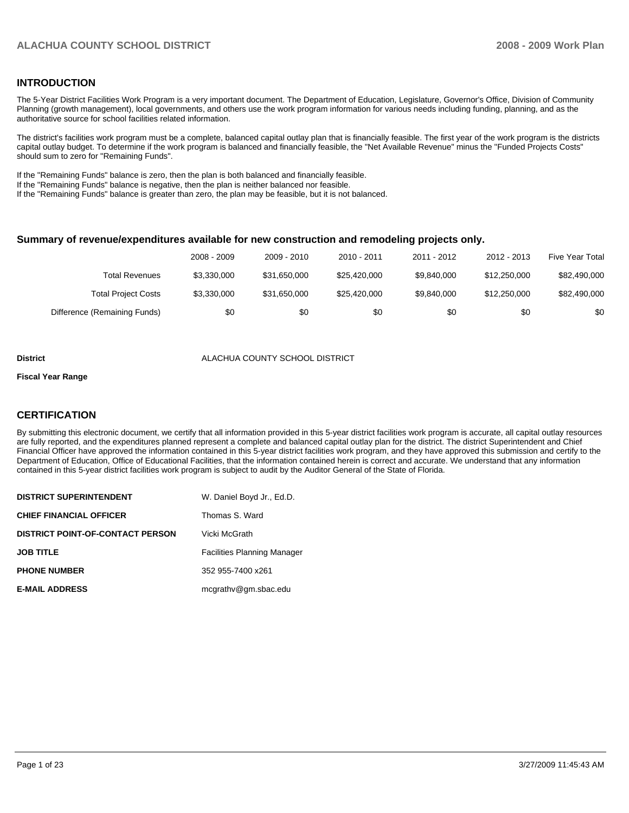#### **INTRODUCTION**

The 5-Year District Facilities Work Program is a very important document. The Department of Education, Legislature, Governor's Office, Division of Community Planning (growth management), local governments, and others use the work program information for various needs including funding, planning, and as the authoritative source for school facilities related information.

The district's facilities work program must be a complete, balanced capital outlay plan that is financially feasible. The first year of the work program is the districts capital outlay budget. To determine if the work program is balanced and financially feasible, the "Net Available Revenue" minus the "Funded Projects Costs" should sum to zero for "Remaining Funds".

If the "Remaining Funds" balance is zero, then the plan is both balanced and financially feasible.

If the "Remaining Funds" balance is negative, then the plan is neither balanced nor feasible.

If the "Remaining Funds" balance is greater than zero, the plan may be feasible, but it is not balanced.

#### **Summary of revenue/expenditures available for new construction and remodeling projects only.**

|                              | 2008 - 2009 | 2009 - 2010  | $2010 - 2011$ | 2011 - 2012 | 2012 - 2013  | <b>Five Year Total</b> |
|------------------------------|-------------|--------------|---------------|-------------|--------------|------------------------|
| Total Revenues               | \$3.330,000 | \$31.650.000 | \$25,420,000  | \$9.840,000 | \$12,250,000 | \$82,490,000           |
| <b>Total Project Costs</b>   | \$3,330,000 | \$31.650.000 | \$25,420,000  | \$9.840,000 | \$12,250,000 | \$82,490,000           |
| Difference (Remaining Funds) | \$0         | \$0          | \$0           | \$0         | \$0          | \$0                    |

#### **District COUNTY SCHOOL DISTRICT ALACHUA COUNTY SCHOOL DISTRICT**

#### **Fiscal Year Range**

#### **CERTIFICATION**

By submitting this electronic document, we certify that all information provided in this 5-year district facilities work program is accurate, all capital outlay resources are fully reported, and the expenditures planned represent a complete and balanced capital outlay plan for the district. The district Superintendent and Chief Financial Officer have approved the information contained in this 5-year district facilities work program, and they have approved this submission and certify to the Department of Education, Office of Educational Facilities, that the information contained herein is correct and accurate. We understand that any information contained in this 5-year district facilities work program is subject to audit by the Auditor General of the State of Florida.

| <b>DISTRICT SUPERINTENDENT</b>          | W. Daniel Boyd Jr., Ed.D.          |
|-----------------------------------------|------------------------------------|
| <b>CHIEF FINANCIAL OFFICER</b>          | Thomas S. Ward                     |
| <b>DISTRICT POINT-OF-CONTACT PERSON</b> | Vicki McGrath                      |
| <b>JOB TITLE</b>                        | <b>Facilities Planning Manager</b> |
| <b>PHONE NUMBER</b>                     | 352 955-7400 x261                  |
| <b>E-MAIL ADDRESS</b>                   | mcgrathy@gm.sbac.edu               |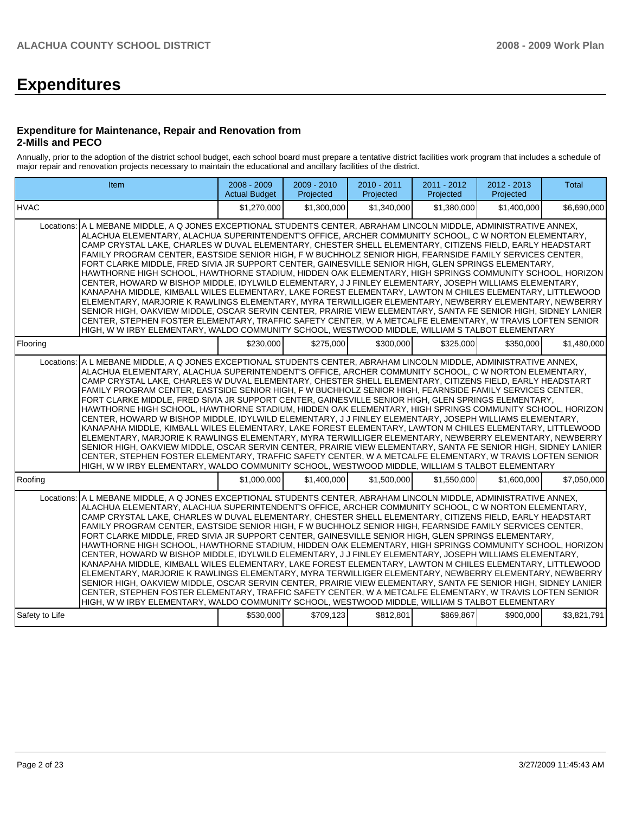# **Expenditures**

#### **Expenditure for Maintenance, Repair and Renovation from 2-Mills and PECO**

Annually, prior to the adoption of the district school budget, each school board must prepare a tentative district facilities work program that includes a schedule of major repair and renovation projects necessary to maintain the educational and ancillary facilities of the district.

|                | Item                                                                                                                                                                                                                                                                                                                                                                                                                                                                                                                                                                                                                                                                                                                                                                                                                                                                                                                                                                                                                                                                                                                                                                                                                                                                                                                                     | 2008 - 2009<br><b>Actual Budget</b> | 2009 - 2010<br>Projected | 2010 - 2011<br>Projected | 2011 - 2012<br>Projected | 2012 - 2013<br>Projected | Total       |
|----------------|------------------------------------------------------------------------------------------------------------------------------------------------------------------------------------------------------------------------------------------------------------------------------------------------------------------------------------------------------------------------------------------------------------------------------------------------------------------------------------------------------------------------------------------------------------------------------------------------------------------------------------------------------------------------------------------------------------------------------------------------------------------------------------------------------------------------------------------------------------------------------------------------------------------------------------------------------------------------------------------------------------------------------------------------------------------------------------------------------------------------------------------------------------------------------------------------------------------------------------------------------------------------------------------------------------------------------------------|-------------------------------------|--------------------------|--------------------------|--------------------------|--------------------------|-------------|
| <b>HVAC</b>    |                                                                                                                                                                                                                                                                                                                                                                                                                                                                                                                                                                                                                                                                                                                                                                                                                                                                                                                                                                                                                                                                                                                                                                                                                                                                                                                                          | \$1,270,000                         | \$1,300,000              | \$1,340,000              | \$1,380,000              | \$1,400,000              | \$6,690,000 |
|                | Locations: A L MEBANE MIDDLE, A Q JONES EXCEPTIONAL STUDENTS CENTER, ABRAHAM LINCOLN MIDDLE, ADMINISTRATIVE ANNEX,<br>ALACHUA ELEMENTARY. ALACHUA SUPERINTENDENT'S OFFICE. ARCHER COMMUNITY SCHOOL. C W NORTON ELEMENTARY.<br>CAMP CRYSTAL LAKE, CHARLES W DUVAL ELEMENTARY, CHESTER SHELL ELEMENTARY, CITIZENS FIELD, EARLY HEADSTART<br>FAMILY PROGRAM CENTER, EASTSIDE SENIOR HIGH, F W BUCHHOLZ SENIOR HIGH, FEARNSIDE FAMILY SERVICES CENTER,<br>FORT CLARKE MIDDLE, FRED SIVIA JR SUPPORT CENTER, GAINESVILLE SENIOR HIGH, GLEN SPRINGS ELEMENTARY,<br>HAWTHORNE HIGH SCHOOL, HAWTHORNE STADIUM, HIDDEN OAK ELEMENTARY, HIGH SPRINGS COMMUNITY SCHOOL, HORIZON<br>CENTER, HOWARD W BISHOP MIDDLE, IDYLWILD ELEMENTARY, J J FINLEY ELEMENTARY, JOSEPH WILLIAMS ELEMENTARY,<br>KANAPAHA MIDDLE, KIMBALL WILES ELEMENTARY, LAKE FOREST ELEMENTARY, LAWTON M CHILES ELEMENTARY, LITTLEWOOD<br>ELEMENTARY, MARJORIE K RAWLINGS ELEMENTARY, MYRA TERWILLIGER ELEMENTARY, NEWBERRY ELEMENTARY, NEWBERRY<br>SENIOR HIGH, OAKVIEW MIDDLE, OSCAR SERVIN CENTER, PRAIRIE VIEW ELEMENTARY, SANTA FE SENIOR HIGH, SIDNEY LANIER<br>CENTER, STEPHEN FOSTER ELEMENTARY, TRAFFIC SAFETY CENTER, W A METCALFE ELEMENTARY, W TRAVIS LOFTEN SENIOR<br>HIGH, W W IRBY ELEMENTARY, WALDO COMMUNITY SCHOOL, WESTWOOD MIDDLE, WILLIAM S TALBOT ELEMENTARY |                                     |                          |                          |                          |                          |             |
| Flooring       |                                                                                                                                                                                                                                                                                                                                                                                                                                                                                                                                                                                                                                                                                                                                                                                                                                                                                                                                                                                                                                                                                                                                                                                                                                                                                                                                          | \$230,000                           | \$275,000                | \$300.000                | \$325.000                | \$350.000                | \$1,480,000 |
| Locations:     | A L MEBANE MIDDLE, A Q JONES EXCEPTIONAL STUDENTS CENTER, ABRAHAM LINCOLN MIDDLE, ADMINISTRATIVE ANNEX,<br>ALACHUA ELEMENTARY, ALACHUA SUPERINTENDENT'S OFFICE, ARCHER COMMUNITY SCHOOL, C W NORTON ELEMENTARY,<br>CAMP CRYSTAL LAKE, CHARLES W DUVAL ELEMENTARY, CHESTER SHELL ELEMENTARY, CITIZENS FIELD, EARLY HEADSTART<br>FAMILY PROGRAM CENTER, EASTSIDE SENIOR HIGH, F W BUCHHOLZ SENIOR HIGH, FEARNSIDE FAMILY SERVICES CENTER,<br>FORT CLARKE MIDDLE. FRED SIVIA JR SUPPORT CENTER. GAINESVILLE SENIOR HIGH. GLEN SPRINGS ELEMENTARY.<br>HAWTHORNE HIGH SCHOOL, HAWTHORNE STADIUM, HIDDEN OAK ELEMENTARY, HIGH SPRINGS COMMUNITY SCHOOL, HORIZON<br>CENTER, HOWARD W BISHOP MIDDLE, IDYLWILD ELEMENTARY, J J FINLEY ELEMENTARY, JOSEPH WILLIAMS ELEMENTARY,<br>KANAPAHA MIDDLE, KIMBALL WILES ELEMENTARY, LAKE FOREST ELEMENTARY, LAWTON M CHILES ELEMENTARY, LITTLEWOOD<br>ELEMENTARY, MARJORIE K RAWLINGS ELEMENTARY, MYRA TERWILLIGER ELEMENTARY, NEWBERRY ELEMENTARY, NEWBERRY<br>SENIOR HIGH, OAKVIEW MIDDLE, OSCAR SERVIN CENTER, PRAIRIE VIEW ELEMENTARY, SANTA FE SENIOR HIGH, SIDNEY LANIER<br>CENTER, STEPHEN FOSTER ELEMENTARY, TRAFFIC SAFETY CENTER, W A METCALFE ELEMENTARY, W TRAVIS LOFTEN SENIOR<br>HIGH, W W IRBY ELEMENTARY, WALDO COMMUNITY SCHOOL, WESTWOOD MIDDLE, WILLIAM S TALBOT ELEMENTARY            |                                     |                          |                          |                          |                          |             |
| Roofing        |                                                                                                                                                                                                                                                                                                                                                                                                                                                                                                                                                                                                                                                                                                                                                                                                                                                                                                                                                                                                                                                                                                                                                                                                                                                                                                                                          | \$1,000,000                         | \$1,400,000              | \$1,500,000              | \$1,550,000              | \$1,600,000              | \$7,050,000 |
| Locations:     | A L MEBANE MIDDLE, A Q JONES EXCEPTIONAL STUDENTS CENTER, ABRAHAM LINCOLN MIDDLE, ADMINISTRATIVE ANNEX,<br>ALACHUA ELEMENTARY, ALACHUA SUPERINTENDENT'S OFFICE, ARCHER COMMUNITY SCHOOL, C W NORTON ELEMENTARY,<br>CAMP CRYSTAL LAKE. CHARLES W DUVAL ELEMENTARY. CHESTER SHELL ELEMENTARY. CITIZENS FIELD. EARLY HEADSTART<br>FAMILY PROGRAM CENTER, EASTSIDE SENIOR HIGH, F W BUCHHOLZ SENIOR HIGH, FEARNSIDE FAMILY SERVICES CENTER,<br>FORT CLARKE MIDDLE, FRED SIVIA JR SUPPORT CENTER, GAINESVILLE SENIOR HIGH, GLEN SPRINGS ELEMENTARY,<br>HAWTHORNE HIGH SCHOOL, HAWTHORNE STADIUM, HIDDEN OAK ELEMENTARY, HIGH SPRINGS COMMUNITY SCHOOL, HORIZON<br>CENTER, HOWARD W BISHOP MIDDLE, IDYLWILD ELEMENTARY, J J FINLEY ELEMENTARY, JOSEPH WILLIAMS ELEMENTARY,<br>KANAPAHA MIDDLE, KIMBALL WILES ELEMENTARY, LAKE FOREST ELEMENTARY, LAWTON M CHILES ELEMENTARY, LITTLEWOOD<br>ELEMENTARY, MARJORIE K RAWLINGS ELEMENTARY, MYRA TERWILLIGER ELEMENTARY, NEWBERRY ELEMENTARY, NEWBERRY<br>SENIOR HIGH, OAKVIEW MIDDLE, OSCAR SERVIN CENTER, PRAIRIE VIEW ELEMENTARY, SANTA FE SENIOR HIGH, SIDNEY LANIER<br>CENTER, STEPHEN FOSTER ELEMENTARY, TRAFFIC SAFETY CENTER, W A METCALFE ELEMENTARY, W TRAVIS LOFTEN SENIOR<br>HIGH, W W IRBY ELEMENTARY, WALDO COMMUNITY SCHOOL, WESTWOOD MIDDLE, WILLIAM S TALBOT ELEMENTARY            |                                     |                          |                          |                          |                          |             |
| Safety to Life |                                                                                                                                                                                                                                                                                                                                                                                                                                                                                                                                                                                                                                                                                                                                                                                                                                                                                                                                                                                                                                                                                                                                                                                                                                                                                                                                          | \$530,000                           | \$709,123                | \$812,801                | \$869,867                | \$900,000                | \$3,821,791 |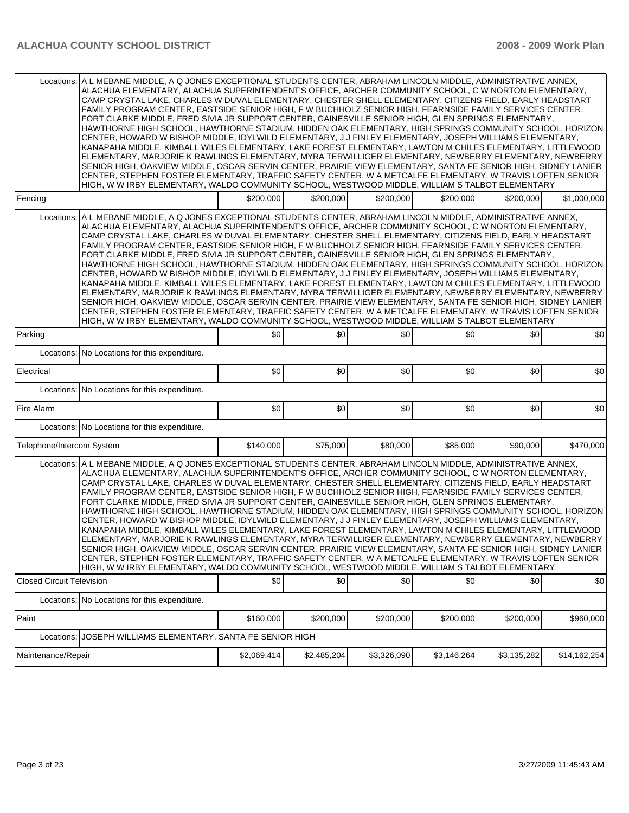|                                  | Locations: A L MEBANE MIDDLE, A Q JONES EXCEPTIONAL STUDENTS CENTER, ABRAHAM LINCOLN MIDDLE, ADMINISTRATIVE ANNEX,<br>ALACHUA ELEMENTARY, ALACHUA SUPERINTENDENT'S OFFICE, ARCHER COMMUNITY SCHOOL, C W NORTON ELEMENTARY,<br>CAMP CRYSTAL LAKE, CHARLES W DUVAL ELEMENTARY, CHESTER SHELL ELEMENTARY, CITIZENS FIELD, EARLY HEADSTART<br>FAMILY PROGRAM CENTER, EASTSIDE SENIOR HIGH, F W BUCHHOLZ SENIOR HIGH, FEARNSIDE FAMILY SERVICES CENTER,<br>FORT CLARKE MIDDLE, FRED SIVIA JR SUPPORT CENTER, GAINESVILLE SENIOR HIGH, GLEN SPRINGS ELEMENTARY,<br>HAWTHORNE HIGH SCHOOL, HAWTHORNE STADIUM, HIDDEN OAK ELEMENTARY, HIGH SPRINGS COMMUNITY SCHOOL, HORIZON<br>CENTER, HOWARD W BISHOP MIDDLE, IDYLWILD ELEMENTARY, J J FINLEY ELEMENTARY, JOSEPH WILLIAMS ELEMENTARY,<br>KANAPAHA MIDDLE, KIMBALL WILES ELEMENTARY, LAKE FOREST ELEMENTARY, LAWTON M CHILES ELEMENTARY, LITTLEWOOD<br>ELEMENTARY, MARJORIE K RAWLINGS ELEMENTARY, MYRA TERWILLIGER ELEMENTARY, NEWBERRY ELEMENTARY, NEWBERRY<br>SENIOR HIGH, OAKVIEW MIDDLE, OSCAR SERVIN CENTER, PRAIRIE VIEW ELEMENTARY, SANTA FE SENIOR HIGH, SIDNEY LANIER<br>CENTER, STEPHEN FOSTER ELEMENTARY, TRAFFIC SAFETY CENTER, W A METCALFE ELEMENTARY, W TRAVIS LOFTEN SENIOR<br>HIGH, W W IRBY ELEMENTARY, WALDO COMMUNITY SCHOOL, WESTWOOD MIDDLE, WILLIAM S TALBOT ELEMENTARY |             |             |             |             |             |              |
|----------------------------------|------------------------------------------------------------------------------------------------------------------------------------------------------------------------------------------------------------------------------------------------------------------------------------------------------------------------------------------------------------------------------------------------------------------------------------------------------------------------------------------------------------------------------------------------------------------------------------------------------------------------------------------------------------------------------------------------------------------------------------------------------------------------------------------------------------------------------------------------------------------------------------------------------------------------------------------------------------------------------------------------------------------------------------------------------------------------------------------------------------------------------------------------------------------------------------------------------------------------------------------------------------------------------------------------------------------------------------------|-------------|-------------|-------------|-------------|-------------|--------------|
| Fencing                          |                                                                                                                                                                                                                                                                                                                                                                                                                                                                                                                                                                                                                                                                                                                                                                                                                                                                                                                                                                                                                                                                                                                                                                                                                                                                                                                                          | \$200,000   | \$200,000   | \$200,000   | \$200,000   | \$200,000   | \$1,000,000  |
|                                  | Locations: A L MEBANE MIDDLE, A Q JONES EXCEPTIONAL STUDENTS CENTER, ABRAHAM LINCOLN MIDDLE, ADMINISTRATIVE ANNEX.<br>ALACHUA ELEMENTARY, ALACHUA SUPERINTENDENT'S OFFICE, ARCHER COMMUNITY SCHOOL, C W NORTON ELEMENTARY,<br>CAMP CRYSTAL LAKE, CHARLES W DUVAL ELEMENTARY, CHESTER SHELL ELEMENTARY, CITIZENS FIELD, EARLY HEADSTART<br>FAMILY PROGRAM CENTER, EASTSIDE SENIOR HIGH, F W BUCHHOLZ SENIOR HIGH, FEARNSIDE FAMILY SERVICES CENTER,<br>FORT CLARKE MIDDLE, FRED SIVIA JR SUPPORT CENTER, GAINESVILLE SENIOR HIGH, GLEN SPRINGS ELEMENTARY,<br>HAWTHORNE HIGH SCHOOL, HAWTHORNE STADIUM, HIDDEN OAK ELEMENTARY, HIGH SPRINGS COMMUNITY SCHOOL, HORIZON<br>CENTER, HOWARD W BISHOP MIDDLE, IDYLWILD ELEMENTARY, J J FINLEY ELEMENTARY, JOSEPH WILLIAMS ELEMENTARY,<br>KANAPAHA MIDDLE, KIMBALL WILES ELEMENTARY, LAKE FOREST ELEMENTARY, LAWTON M CHILES ELEMENTARY, LITTLEWOOD<br>ELEMENTARY, MARJORIE K RAWLINGS ELEMENTARY, MYRA TERWILLIGER ELEMENTARY, NEWBERRY ELEMENTARY, NEWBERRY<br>SENIOR HIGH, OAKVIEW MIDDLE, OSCAR SERVIN CENTER, PRAIRIE VIEW ELEMENTARY, SANTA FE SENIOR HIGH, SIDNEY LANIER<br>CENTER, STEPHEN FOSTER ELEMENTARY, TRAFFIC SAFETY CENTER, W A METCALFE ELEMENTARY, W TRAVIS LOFTEN SENIOR<br>HIGH, W W IRBY ELEMENTARY, WALDO COMMUNITY SCHOOL, WESTWOOD MIDDLE, WILLIAM S TALBOT ELEMENTARY |             |             |             |             |             |              |
| Parking                          |                                                                                                                                                                                                                                                                                                                                                                                                                                                                                                                                                                                                                                                                                                                                                                                                                                                                                                                                                                                                                                                                                                                                                                                                                                                                                                                                          | \$0         | \$0         | \$0         | \$0         | \$0         | \$0          |
|                                  | Locations: No Locations for this expenditure.                                                                                                                                                                                                                                                                                                                                                                                                                                                                                                                                                                                                                                                                                                                                                                                                                                                                                                                                                                                                                                                                                                                                                                                                                                                                                            |             |             |             |             |             |              |
| Electrical                       |                                                                                                                                                                                                                                                                                                                                                                                                                                                                                                                                                                                                                                                                                                                                                                                                                                                                                                                                                                                                                                                                                                                                                                                                                                                                                                                                          | \$0         | \$0         | \$0         | \$0         | \$0         | \$0          |
|                                  | Locations: No Locations for this expenditure.                                                                                                                                                                                                                                                                                                                                                                                                                                                                                                                                                                                                                                                                                                                                                                                                                                                                                                                                                                                                                                                                                                                                                                                                                                                                                            |             |             |             |             |             |              |
| Fire Alarm                       |                                                                                                                                                                                                                                                                                                                                                                                                                                                                                                                                                                                                                                                                                                                                                                                                                                                                                                                                                                                                                                                                                                                                                                                                                                                                                                                                          | \$0         | \$0         | \$0         | \$0         | \$0         | \$0          |
|                                  | Locations: No Locations for this expenditure.                                                                                                                                                                                                                                                                                                                                                                                                                                                                                                                                                                                                                                                                                                                                                                                                                                                                                                                                                                                                                                                                                                                                                                                                                                                                                            |             |             |             |             |             |              |
| Telephone/Intercom System        |                                                                                                                                                                                                                                                                                                                                                                                                                                                                                                                                                                                                                                                                                                                                                                                                                                                                                                                                                                                                                                                                                                                                                                                                                                                                                                                                          | \$140,000   | \$75,000    | \$80,000    | \$85,000    | \$90,000    | \$470,000    |
|                                  | Locations: A L MEBANE MIDDLE, A Q JONES EXCEPTIONAL STUDENTS CENTER, ABRAHAM LINCOLN MIDDLE, ADMINISTRATIVE ANNEX,<br>ALACHUA ELEMENTARY, ALACHUA SUPERINTENDENT'S OFFICE, ARCHER COMMUNITY SCHOOL, C W NORTON ELEMENTARY,<br>CAMP CRYSTAL LAKE, CHARLES W DUVAL ELEMENTARY, CHESTER SHELL ELEMENTARY, CITIZENS FIELD, EARLY HEADSTART<br>FAMILY PROGRAM CENTER, EASTSIDE SENIOR HIGH, F W BUCHHOLZ SENIOR HIGH, FEARNSIDE FAMILY SERVICES CENTER,<br>FORT CLARKE MIDDLE, FRED SIVIA JR SUPPORT CENTER, GAINESVILLE SENIOR HIGH, GLEN SPRINGS ELEMENTARY,<br>HAWTHORNE HIGH SCHOOL, HAWTHORNE STADIUM, HIDDEN OAK ELEMENTARY, HIGH SPRINGS COMMUNITY SCHOOL, HORIZON<br>CENTER, HOWARD W BISHOP MIDDLE, IDYLWILD ELEMENTARY, J J FINLEY ELEMENTARY, JOSEPH WILLIAMS ELEMENTARY,<br>KANAPAHA MIDDLE, KIMBALL WILES ELEMENTARY, LAKE FOREST ELEMENTARY, LAWTON M CHILES ELEMENTARY, LITTLEWOOD<br>ELEMENTARY, MARJORIE K RAWLINGS ELEMENTARY, MYRA TERWILLIGER ELEMENTARY, NEWBERRY ELEMENTARY, NEWBERRY<br>SENIOR HIGH, OAKVIEW MIDDLE, OSCAR SERVIN CENTER, PRAIRIE VIEW ELEMENTARY, SANTA FE SENIOR HIGH, SIDNEY LANIER<br>CENTER, STEPHEN FOSTER ELEMENTARY, TRAFFIC SAFETY CENTER, W A METCALFE ELEMENTARY, W TRAVIS LOFTEN SENIOR<br>HIGH, W W IRBY ELEMENTARY, WALDO COMMUNITY SCHOOL, WESTWOOD MIDDLE, WILLIAM S TALBOT ELEMENTARY |             |             |             |             |             |              |
| <b>Closed Circuit Television</b> |                                                                                                                                                                                                                                                                                                                                                                                                                                                                                                                                                                                                                                                                                                                                                                                                                                                                                                                                                                                                                                                                                                                                                                                                                                                                                                                                          | \$0         | \$0         | \$0         | \$0         | \$0         | \$0          |
|                                  | Locations: No Locations for this expenditure.                                                                                                                                                                                                                                                                                                                                                                                                                                                                                                                                                                                                                                                                                                                                                                                                                                                                                                                                                                                                                                                                                                                                                                                                                                                                                            |             |             |             |             |             |              |
| Paint                            |                                                                                                                                                                                                                                                                                                                                                                                                                                                                                                                                                                                                                                                                                                                                                                                                                                                                                                                                                                                                                                                                                                                                                                                                                                                                                                                                          | \$160,000   | \$200,000   | \$200,000   | \$200,000   | \$200,000   | \$960,000    |
| Locations:                       | JOSEPH WILLIAMS ELEMENTARY, SANTA FE SENIOR HIGH                                                                                                                                                                                                                                                                                                                                                                                                                                                                                                                                                                                                                                                                                                                                                                                                                                                                                                                                                                                                                                                                                                                                                                                                                                                                                         |             |             |             |             |             |              |
| Maintenance/Repair               |                                                                                                                                                                                                                                                                                                                                                                                                                                                                                                                                                                                                                                                                                                                                                                                                                                                                                                                                                                                                                                                                                                                                                                                                                                                                                                                                          | \$2,069,414 | \$2,485,204 | \$3,326,090 | \$3,146,264 | \$3,135,282 | \$14,162,254 |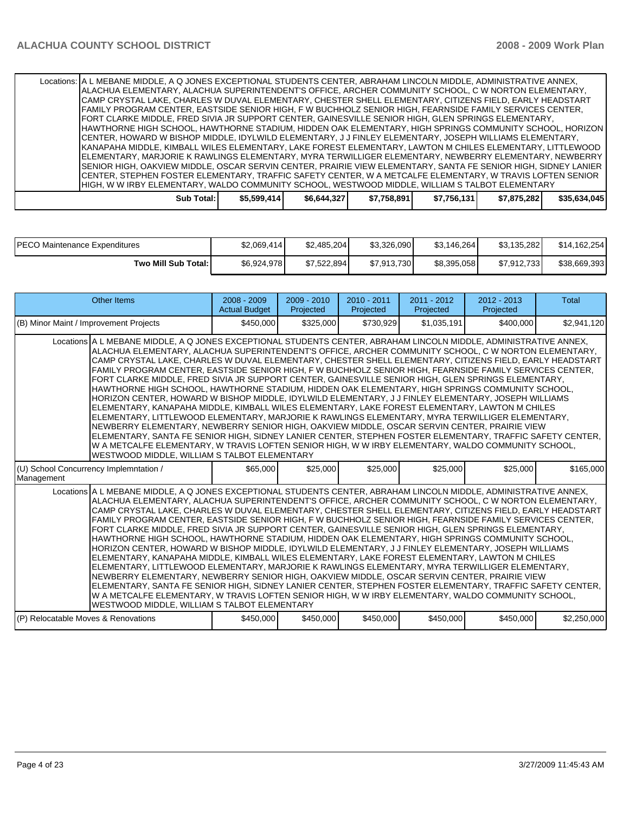| Locations:   A L MEBANE MIDDLE, A Q JONES EXCEPTIONAL STUDENTS CENTER, ABRAHAM LINCOLN MIDDLE, ADMINISTRATIVE ANNEX, |             |             |             |             |             |              |
|----------------------------------------------------------------------------------------------------------------------|-------------|-------------|-------------|-------------|-------------|--------------|
| ALACHUA ELEMENTARY, ALACHUA SUPERINTENDENT'S OFFICE, ARCHER COMMUNITY SCHOOL, C W NORTON ELEMENTARY,                 |             |             |             |             |             |              |
| CAMP CRYSTAL LAKE, CHARLES W DUVAL ELEMENTARY, CHESTER SHELL ELEMENTARY, CITIZENS FIELD, EARLY HEADSTART             |             |             |             |             |             |              |
| FAMILY PROGRAM CENTER, EASTSIDE SENIOR HIGH, F W BUCHHOLZ SENIOR HIGH, FEARNSIDE FAMILY SERVICES CENTER,             |             |             |             |             |             |              |
| FORT CLARKE MIDDLE, FRED SIVIA JR SUPPORT CENTER, GAINESVILLE SENIOR HIGH, GLEN SPRINGS ELEMENTARY,                  |             |             |             |             |             |              |
| HAWTHORNE HIGH SCHOOL, HAWTHORNE STADIUM, HIDDEN OAK ELEMENTARY, HIGH SPRINGS COMMUNITY SCHOOL, HORIZON              |             |             |             |             |             |              |
| CENTER, HOWARD W BISHOP MIDDLE, IDYLWILD ELEMENTARY, J J FINLEY ELEMENTARY, JOSEPH WILLIAMS ELEMENTARY,              |             |             |             |             |             |              |
| KANAPAHA MIDDLE, KIMBALL WILES ELEMENTARY, LAKE FOREST ELEMENTARY, LAWTON M CHILES ELEMENTARY, LITTLEWOOD            |             |             |             |             |             |              |
| IELEMENTARY, MARJORIE K RAWLINGS ELEMENTARY, MYRA TERWILLIGER ELEMENTARY, NEWBERRY ELEMENTARY, NEWBERRY              |             |             |             |             |             |              |
| ISENIOR HIGH, OAKVIEW MIDDLE, OSCAR SERVIN CENTER, PRAIRIE VIEW ELEMENTARY, SANTA FE SENIOR HIGH, SIDNEY LANIER      |             |             |             |             |             |              |
| ICENTER, STEPHEN FOSTER ELEMENTARY, TRAFFIC SAFETY CENTER, W A METCALFE ELEMENTARY, W TRAVIS LOFTEN SENIOR           |             |             |             |             |             |              |
| HIGH. W W IRBY ELEMENTARY. WALDO COMMUNITY SCHOOL. WESTWOOD MIDDLE. WILLIAM S TALBOT ELEMENTARY                      |             |             |             |             |             |              |
| Sub Total:                                                                                                           | \$5,599,414 | \$6,644,327 | \$7,758,891 | \$7,756,131 | \$7,875,282 | \$35,634,045 |

| <b>PECO Maintenance Expenditures</b> | \$2,069,414 | \$2,485,204 | \$3,326,090 | \$3,146,264] | \$3,135,282 | \$14.162.254 |
|--------------------------------------|-------------|-------------|-------------|--------------|-------------|--------------|
| Two Mill Sub Total: I                | \$6,924,978 | \$7.522.894 | \$7,913,730 | \$8,395,058  | \$7,912,733 | \$38,669,393 |

| <b>Other Items</b>                                                                                                                                                                                                                                                                                                                                                                                                                                                                                                                                                                                                                                                                                                                                                                                                                                                                                                                                                                                                                                                                                                                                                                                                                                                                                                                          | $2008 - 2009$<br><b>Actual Budget</b> | $2009 - 2010$<br>Projected | $2010 - 2011$<br>Projected | $2011 - 2012$<br>Projected | $2012 - 2013$<br>Projected | Total       |  |
|---------------------------------------------------------------------------------------------------------------------------------------------------------------------------------------------------------------------------------------------------------------------------------------------------------------------------------------------------------------------------------------------------------------------------------------------------------------------------------------------------------------------------------------------------------------------------------------------------------------------------------------------------------------------------------------------------------------------------------------------------------------------------------------------------------------------------------------------------------------------------------------------------------------------------------------------------------------------------------------------------------------------------------------------------------------------------------------------------------------------------------------------------------------------------------------------------------------------------------------------------------------------------------------------------------------------------------------------|---------------------------------------|----------------------------|----------------------------|----------------------------|----------------------------|-------------|--|
| (B) Minor Maint / Improvement Projects                                                                                                                                                                                                                                                                                                                                                                                                                                                                                                                                                                                                                                                                                                                                                                                                                                                                                                                                                                                                                                                                                                                                                                                                                                                                                                      | \$450,000                             | \$325,000                  | \$730,929                  | \$1,035,191                | \$400,000                  | \$2,941,120 |  |
| Locations A L MEBANE MIDDLE, A Q JONES EXCEPTIONAL STUDENTS CENTER, ABRAHAM LINCOLN MIDDLE, ADMINISTRATIVE ANNEX,<br>ALACHUA ELEMENTARY, ALACHUA SUPERINTENDENT'S OFFICE, ARCHER COMMUNITY SCHOOL, C W NORTON ELEMENTARY,<br>CAMP CRYSTAL LAKE, CHARLES W DUVAL ELEMENTARY, CHESTER SHELL ELEMENTARY, CITIZENS FIELD, EARLY HEADSTART<br>FAMILY PROGRAM CENTER, EASTSIDE SENIOR HIGH, F W BUCHHOLZ SENIOR HIGH, FEARNSIDE FAMILY SERVICES CENTER,<br>FORT CLARKE MIDDLE. FRED SIVIA JR SUPPORT CENTER. GAINESVILLE SENIOR HIGH. GLEN SPRINGS ELEMENTARY.<br>HAWTHORNE HIGH SCHOOL, HAWTHORNE STADIUM, HIDDEN OAK ELEMENTARY, HIGH SPRINGS COMMUNITY SCHOOL,<br>HORIZON CENTER. HOWARD W BISHOP MIDDLE. IDYLWILD ELEMENTARY. J J FINLEY ELEMENTARY. JOSEPH WILLIAMS<br>ELEMENTARY, KANAPAHA MIDDLE, KIMBALL WILES ELEMENTARY, LAKE FOREST ELEMENTARY, LAWTON M CHILES<br>ELEMENTARY, LITTLEWOOD ELEMENTARY, MARJORIE K RAWLINGS ELEMENTARY, MYRA TERWILLIGER ELEMENTARY,<br>NEWBERRY ELEMENTARY, NEWBERRY SENIOR HIGH, OAKVIEW MIDDLE, OSCAR SERVIN CENTER, PRAIRIE VIEW<br>ELEMENTARY, SANTA FE SENIOR HIGH, SIDNEY LANIER CENTER, STEPHEN FOSTER ELEMENTARY, TRAFFIC SAFETY CENTER,<br>W A METCALFE ELEMENTARY, W TRAVIS LOFTEN SENIOR HIGH, W W IRBY ELEMENTARY, WALDO COMMUNITY SCHOOL,<br>WESTWOOD MIDDLE, WILLIAM S TALBOT ELEMENTARY  |                                       |                            |                            |                            |                            |             |  |
| (U) School Concurrency Implemntation /<br>Management                                                                                                                                                                                                                                                                                                                                                                                                                                                                                                                                                                                                                                                                                                                                                                                                                                                                                                                                                                                                                                                                                                                                                                                                                                                                                        | \$65,000                              | \$25,000                   | \$25,000                   | \$25,000                   | \$25,000                   | \$165,000   |  |
| Locations A L MEBANE MIDDLE, A Q JONES EXCEPTIONAL STUDENTS CENTER, ABRAHAM LINCOLN MIDDLE, ADMINISTRATIVE ANNEX,<br>ALACHUA ELEMENTARY, ALACHUA SUPERINTENDENT'S OFFICE, ARCHER COMMUNITY SCHOOL, C W NORTON ELEMENTARY,<br>CAMP CRYSTAL LAKE, CHARLES W DUVAL ELEMENTARY, CHESTER SHELL ELEMENTARY, CITIZENS FIELD, EARLY HEADSTART<br>FAMILY PROGRAM CENTER, EASTSIDE SENIOR HIGH, F W BUCHHOLZ SENIOR HIGH, FEARNSIDE FAMILY SERVICES CENTER,<br>FORT CLARKE MIDDLE, FRED SIVIA JR SUPPORT CENTER, GAINESVILLE SENIOR HIGH, GLEN SPRINGS ELEMENTARY,<br>HAWTHORNE HIGH SCHOOL, HAWTHORNE STADIUM, HIDDEN OAK ELEMENTARY, HIGH SPRINGS COMMUNITY SCHOOL,<br>HORIZON CENTER, HOWARD W BISHOP MIDDLE, IDYLWILD ELEMENTARY, J J FINLEY ELEMENTARY, JOSEPH WILLIAMS<br>ELEMENTARY, KANAPAHA MIDDLE, KIMBALL WILES ELEMENTARY, LAKE FOREST ELEMENTARY, LAWTON M CHILES<br>ELEMENTARY, LITTLEWOOD ELEMENTARY, MARJORIE K RAWLINGS ELEMENTARY, MYRA TERWILLIGER ELEMENTARY,<br>INEWBERRY ELEMENTARY. NEWBERRY SENIOR HIGH. OAKVIEW MIDDLE. OSCAR SERVIN CENTER. PRAIRIE VIEW<br>ELEMENTARY, SANTA FE SENIOR HIGH, SIDNEY LANIER CENTER, STEPHEN FOSTER ELEMENTARY, TRAFFIC SAFETY CENTER,<br>W A METCALFE ELEMENTARY, W TRAVIS LOFTEN SENIOR HIGH, W W IRBY ELEMENTARY, WALDO COMMUNITY SCHOOL,<br>WESTWOOD MIDDLE, WILLIAM S TALBOT ELEMENTARY |                                       |                            |                            |                            |                            |             |  |
| (P) Relocatable Moves & Renovations                                                                                                                                                                                                                                                                                                                                                                                                                                                                                                                                                                                                                                                                                                                                                                                                                                                                                                                                                                                                                                                                                                                                                                                                                                                                                                         | \$450,000                             | \$450,000                  | \$450,000                  | \$450,000                  | \$450,000                  | \$2,250,000 |  |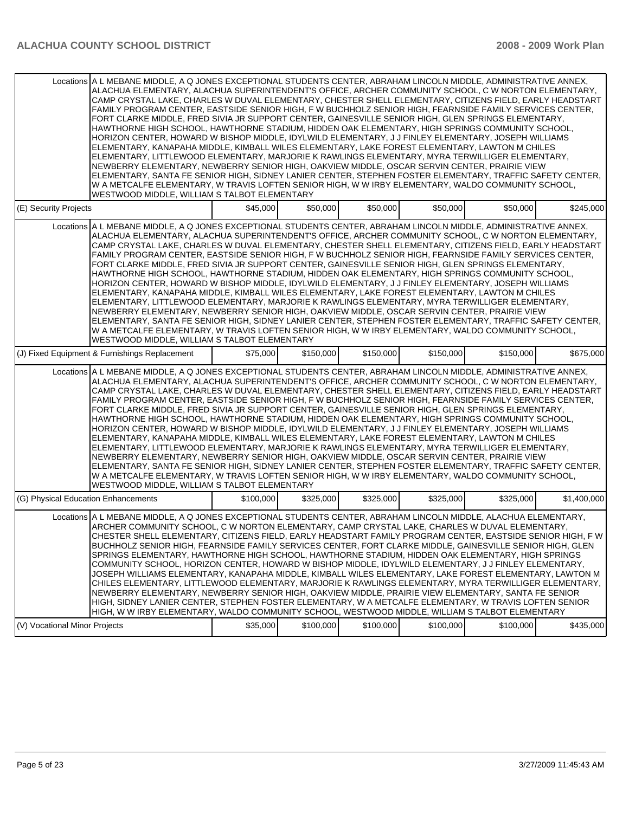|                                     | Locations A L MEBANE MIDDLE, A Q JONES EXCEPTIONAL STUDENTS CENTER, ABRAHAM LINCOLN MIDDLE, ADMINISTRATIVE ANNEX,<br>ALACHUA ELEMENTARY, ALACHUA SUPERINTENDENT'S OFFICE, ARCHER COMMUNITY SCHOOL, C W NORTON ELEMENTARY,<br>CAMP CRYSTAL LAKE, CHARLES W DUVAL ELEMENTARY, CHESTER SHELL ELEMENTARY, CITIZENS FIELD, EARLY HEADSTART<br>FAMILY PROGRAM CENTER, EASTSIDE SENIOR HIGH, F W BUCHHOLZ SENIOR HIGH, FEARNSIDE FAMILY SERVICES CENTER,<br>FORT CLARKE MIDDLE, FRED SIVIA JR SUPPORT CENTER, GAINESVILLE SENIOR HIGH, GLEN SPRINGS ELEMENTARY,<br>HAWTHORNE HIGH SCHOOL, HAWTHORNE STADIUM, HIDDEN OAK ELEMENTARY, HIGH SPRINGS COMMUNITY SCHOOL,<br>HORIZON CENTER, HOWARD W BISHOP MIDDLE, IDYLWILD ELEMENTARY, J J FINLEY ELEMENTARY, JOSEPH WILLIAMS<br>ELEMENTARY, KANAPAHA MIDDLE, KIMBALL WILES ELEMENTARY, LAKE FOREST ELEMENTARY, LAWTON M CHILES<br>ELEMENTARY, LITTLEWOOD ELEMENTARY, MARJORIE K RAWLINGS ELEMENTARY, MYRA TERWILLIGER ELEMENTARY,<br>NEWBERRY ELEMENTARY, NEWBERRY SENIOR HIGH, OAKVIEW MIDDLE, OSCAR SERVIN CENTER, PRAIRIE VIEW<br>ELEMENTARY, SANTA FE SENIOR HIGH, SIDNEY LANIER CENTER, STEPHEN FOSTER ELEMENTARY, TRAFFIC SAFETY CENTER,<br>W A METCALFE ELEMENTARY, W TRAVIS LOFTEN SENIOR HIGH, W W IRBY ELEMENTARY, WALDO COMMUNITY SCHOOL,<br>WESTWOOD MIDDLE, WILLIAM S TALBOT ELEMENTARY |           |           |           |           |           |             |
|-------------------------------------|--------------------------------------------------------------------------------------------------------------------------------------------------------------------------------------------------------------------------------------------------------------------------------------------------------------------------------------------------------------------------------------------------------------------------------------------------------------------------------------------------------------------------------------------------------------------------------------------------------------------------------------------------------------------------------------------------------------------------------------------------------------------------------------------------------------------------------------------------------------------------------------------------------------------------------------------------------------------------------------------------------------------------------------------------------------------------------------------------------------------------------------------------------------------------------------------------------------------------------------------------------------------------------------------------------------------------------------------|-----------|-----------|-----------|-----------|-----------|-------------|
| (E) Security Projects               |                                                                                                                                                                                                                                                                                                                                                                                                                                                                                                                                                                                                                                                                                                                                                                                                                                                                                                                                                                                                                                                                                                                                                                                                                                                                                                                                            | \$45,000  | \$50,000  | \$50,000  | \$50,000  | \$50,000  | \$245,000   |
|                                     | Locations A L MEBANE MIDDLE, A Q JONES EXCEPTIONAL STUDENTS CENTER, ABRAHAM LINCOLN MIDDLE, ADMINISTRATIVE ANNEX,<br>ALACHUA ELEMENTARY, ALACHUA SUPERINTENDENT'S OFFICE, ARCHER COMMUNITY SCHOOL, C W NORTON ELEMENTARY,<br>CAMP CRYSTAL LAKE, CHARLES W DUVAL ELEMENTARY, CHESTER SHELL ELEMENTARY, CITIZENS FIELD, EARLY HEADSTART<br>FAMILY PROGRAM CENTER, EASTSIDE SENIOR HIGH, F W BUCHHOLZ SENIOR HIGH, FEARNSIDE FAMILY SERVICES CENTER,<br>FORT CLARKE MIDDLE, FRED SIVIA JR SUPPORT CENTER, GAINESVILLE SENIOR HIGH, GLEN SPRINGS ELEMENTARY,<br>HAWTHORNE HIGH SCHOOL. HAWTHORNE STADIUM. HIDDEN OAK ELEMENTARY. HIGH SPRINGS COMMUNITY SCHOOL.<br>HORIZON CENTER, HOWARD W BISHOP MIDDLE, IDYLWILD ELEMENTARY, J J FINLEY ELEMENTARY, JOSEPH WILLIAMS<br>ELEMENTARY, KANAPAHA MIDDLE, KIMBALL WILES ELEMENTARY, LAKE FOREST ELEMENTARY, LAWTON M CHILES<br>ELEMENTARY, LITTLEWOOD ELEMENTARY, MARJORIE K RAWLINGS ELEMENTARY, MYRA TERWILLIGER ELEMENTARY,<br>NEWBERRY ELEMENTARY, NEWBERRY SENIOR HIGH, OAKVIEW MIDDLE, OSCAR SERVIN CENTER, PRAIRIE VIEW<br>ELEMENTARY, SANTA FE SENIOR HIGH, SIDNEY LANIER CENTER, STEPHEN FOSTER ELEMENTARY, TRAFFIC SAFETY CENTER,<br>W A METCALFE ELEMENTARY, W TRAVIS LOFTEN SENIOR HIGH, W W IRBY ELEMENTARY, WALDO COMMUNITY SCHOOL,<br>WESTWOOD MIDDLE, WILLIAM S TALBOT ELEMENTARY |           |           |           |           |           |             |
|                                     | (J) Fixed Equipment & Furnishings Replacement                                                                                                                                                                                                                                                                                                                                                                                                                                                                                                                                                                                                                                                                                                                                                                                                                                                                                                                                                                                                                                                                                                                                                                                                                                                                                              | \$75,000  | \$150,000 | \$150,000 | \$150,000 | \$150,000 | \$675,000   |
|                                     | Locations A L MEBANE MIDDLE, A Q JONES EXCEPTIONAL STUDENTS CENTER, ABRAHAM LINCOLN MIDDLE, ADMINISTRATIVE ANNEX,<br>ALACHUA ELEMENTARY, ALACHUA SUPERINTENDENT'S OFFICE, ARCHER COMMUNITY SCHOOL, C W NORTON ELEMENTARY,<br>CAMP CRYSTAL LAKE, CHARLES W DUVAL ELEMENTARY, CHESTER SHELL ELEMENTARY, CITIZENS FIELD, EARLY HEADSTART<br>FAMILY PROGRAM CENTER, EASTSIDE SENIOR HIGH, F W BUCHHOLZ SENIOR HIGH, FEARNSIDE FAMILY SERVICES CENTER,<br>FORT CLARKE MIDDLE, FRED SIVIA JR SUPPORT CENTER, GAINESVILLE SENIOR HIGH, GLEN SPRINGS ELEMENTARY,<br>HAWTHORNE HIGH SCHOOL, HAWTHORNE STADIUM, HIDDEN OAK ELEMENTARY, HIGH SPRINGS COMMUNITY SCHOOL,<br>HORIZON CENTER, HOWARD W BISHOP MIDDLE, IDYLWILD ELEMENTARY, J J FINLEY ELEMENTARY, JOSEPH WILLIAMS<br>ELEMENTARY, KANAPAHA MIDDLE, KIMBALL WILES ELEMENTARY, LAKE FOREST ELEMENTARY, LAWTON M CHILES<br>ELEMENTARY, LITTLEWOOD ELEMENTARY, MARJORIE K RAWLINGS ELEMENTARY, MYRA TERWILLIGER ELEMENTARY,<br>NEWBERRY ELEMENTARY, NEWBERRY SENIOR HIGH, OAKVIEW MIDDLE, OSCAR SERVIN CENTER, PRAIRIE VIEW<br>ELEMENTARY, SANTA FE SENIOR HIGH, SIDNEY LANIER CENTER, STEPHEN FOSTER ELEMENTARY, TRAFFIC SAFETY CENTER,<br>W A METCALFE ELEMENTARY, W TRAVIS LOFTEN SENIOR HIGH, W W IRBY ELEMENTARY, WALDO COMMUNITY SCHOOL,<br>WESTWOOD MIDDLE, WILLIAM S TALBOT ELEMENTARY |           |           |           |           |           |             |
| (G) Physical Education Enhancements |                                                                                                                                                                                                                                                                                                                                                                                                                                                                                                                                                                                                                                                                                                                                                                                                                                                                                                                                                                                                                                                                                                                                                                                                                                                                                                                                            | \$100,000 | \$325,000 | \$325,000 | \$325,000 | \$325,000 | \$1,400,000 |
|                                     | Locations A L MEBANE MIDDLE, A Q JONES EXCEPTIONAL STUDENTS CENTER, ABRAHAM LINCOLN MIDDLE, ALACHUA ELEMENTARY,<br>ARCHER COMMUNITY SCHOOL, C W NORTON ELEMENTARY, CAMP CRYSTAL LAKE, CHARLES W DUVAL ELEMENTARY,<br>CHESTER SHELL ELEMENTARY, CITIZENS FIELD, EARLY HEADSTART FAMILY PROGRAM CENTER, EASTSIDE SENIOR HIGH, F W<br>BUCHHOLZ SENIOR HIGH, FEARNSIDE FAMILY SERVICES CENTER, FORT CLARKE MIDDLE, GAINESVILLE SENIOR HIGH, GLEN<br>SPRINGS ELEMENTARY, HAWTHORNE HIGH SCHOOL, HAWTHORNE STADIUM, HIDDEN OAK ELEMENTARY, HIGH SPRINGS<br>COMMUNITY SCHOOL, HORIZON CENTER, HOWARD W BISHOP MIDDLE, IDYLWILD ELEMENTARY, J J FINLEY ELEMENTARY,<br>JOSEPH WILLIAMS ELEMENTARY, KANAPAHA MIDDLE, KIMBALL WILES ELEMENTARY, LAKE FOREST ELEMENTARY, LAWTON M<br>CHILES ELEMENTARY, LITTLEWOOD ELEMENTARY, MARJORIE K RAWLINGS ELEMENTARY, MYRA TERWILLIGER ELEMENTARY,<br>NEWBERRY ELEMENTARY, NEWBERRY SENIOR HIGH, OAKVIEW MIDDLE, PRAIRIE VIEW ELEMENTARY, SANTA FE SENIOR<br>HIGH, SIDNEY LANIER CENTER, STEPHEN FOSTER ELEMENTARY, W A METCALFE ELEMENTARY, W TRAVIS LOFTEN SENIOR<br>HIGH, W W IRBY ELEMENTARY, WALDO COMMUNITY SCHOOL, WESTWOOD MIDDLE, WILLIAM S TALBOT ELEMENTARY                                                                                                                                        |           |           |           |           |           |             |
| (V) Vocational Minor Projects       |                                                                                                                                                                                                                                                                                                                                                                                                                                                                                                                                                                                                                                                                                                                                                                                                                                                                                                                                                                                                                                                                                                                                                                                                                                                                                                                                            | \$35,000  | \$100,000 | \$100,000 | \$100,000 | \$100.000 | \$435,000   |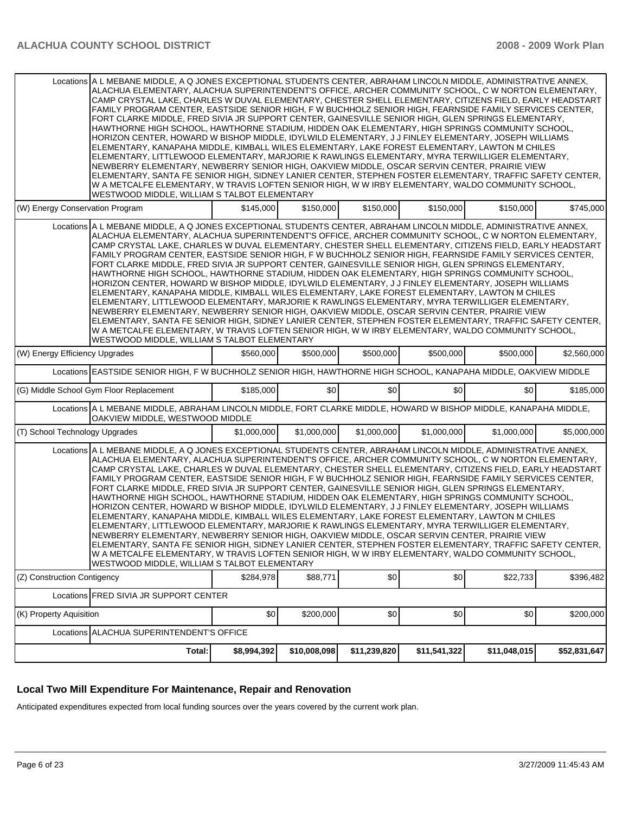|                                                                                                                  | Locations A L MEBANE MIDDLE. A Q JONES EXCEPTIONAL STUDENTS CENTER. ABRAHAM LINCOLN MIDDLE. ADMINISTRATIVE ANNEX.                                                                                                                                                                                                                                                                                                                                                                                                                                                                                                                                                                                                                                                                                                                                                                                                                                                                                                                                                                                                                                                                                                                                                                                                                                 |             |              |              |              |              |              |
|------------------------------------------------------------------------------------------------------------------|---------------------------------------------------------------------------------------------------------------------------------------------------------------------------------------------------------------------------------------------------------------------------------------------------------------------------------------------------------------------------------------------------------------------------------------------------------------------------------------------------------------------------------------------------------------------------------------------------------------------------------------------------------------------------------------------------------------------------------------------------------------------------------------------------------------------------------------------------------------------------------------------------------------------------------------------------------------------------------------------------------------------------------------------------------------------------------------------------------------------------------------------------------------------------------------------------------------------------------------------------------------------------------------------------------------------------------------------------|-------------|--------------|--------------|--------------|--------------|--------------|
|                                                                                                                  | ALACHUA ELEMENTARY, ALACHUA SUPERINTENDENT'S OFFICE, ARCHER COMMUNITY SCHOOL, C W NORTON ELEMENTARY,<br>CAMP CRYSTAL LAKE, CHARLES W DUVAL ELEMENTARY, CHESTER SHELL ELEMENTARY, CITIZENS FIELD, EARLY HEADSTART<br>FAMILY PROGRAM CENTER, EASTSIDE SENIOR HIGH, F W BUCHHOLZ SENIOR HIGH, FEARNSIDE FAMILY SERVICES CENTER,<br>FORT CLARKE MIDDLE, FRED SIVIA JR SUPPORT CENTER, GAINESVILLE SENIOR HIGH, GLEN SPRINGS ELEMENTARY,<br>HAWTHORNE HIGH SCHOOL, HAWTHORNE STADIUM, HIDDEN OAK ELEMENTARY, HIGH SPRINGS COMMUNITY SCHOOL,<br>HORIZON CENTER, HOWARD W BISHOP MIDDLE, IDYLWILD ELEMENTARY, J J FINLEY ELEMENTARY, JOSEPH WILLIAMS<br>ELEMENTARY, KANAPAHA MIDDLE, KIMBALL WILES ELEMENTARY, LAKE FOREST ELEMENTARY, LAWTON M CHILES<br>ELEMENTARY, LITTLEWOOD ELEMENTARY, MARJORIE K RAWLINGS ELEMENTARY, MYRA TERWILLIGER ELEMENTARY,<br>NEWBERRY ELEMENTARY, NEWBERRY SENIOR HIGH, OAKVIEW MIDDLE, OSCAR SERVIN CENTER, PRAIRIE VIEW<br>ELEMENTARY, SANTA FE SENIOR HIGH, SIDNEY LANIER CENTER, STEPHEN FOSTER ELEMENTARY, TRAFFIC SAFETY CENTER,<br>W A METCALFE ELEMENTARY, W TRAVIS LOFTEN SENIOR HIGH, W W IRBY ELEMENTARY, WALDO COMMUNITY SCHOOL,<br><b>WESTWOOD MIDDLE, WILLIAM S TALBOT ELEMENTARY</b>                                                                                                                      |             |              |              |              |              |              |
| (W) Energy Conservation Program                                                                                  |                                                                                                                                                                                                                                                                                                                                                                                                                                                                                                                                                                                                                                                                                                                                                                                                                                                                                                                                                                                                                                                                                                                                                                                                                                                                                                                                                   | \$145,000   | \$150,000    | \$150,000    | \$150,000    | \$150,000    | \$745,000    |
|                                                                                                                  | Locations A L MEBANE MIDDLE, A Q JONES EXCEPTIONAL STUDENTS CENTER, ABRAHAM LINCOLN MIDDLE, ADMINISTRATIVE ANNEX,<br>ALACHUA ELEMENTARY, ALACHUA SUPERINTENDENT'S OFFICE, ARCHER COMMUNITY SCHOOL, C W NORTON ELEMENTARY,<br>CAMP CRYSTAL LAKE, CHARLES W DUVAL ELEMENTARY, CHESTER SHELL ELEMENTARY, CITIZENS FIELD, EARLY HEADSTART<br>FAMILY PROGRAM CENTER, EASTSIDE SENIOR HIGH, F W BUCHHOLZ SENIOR HIGH, FEARNSIDE FAMILY SERVICES CENTER,<br>FORT CLARKE MIDDLE, FRED SIVIA JR SUPPORT CENTER, GAINESVILLE SENIOR HIGH, GLEN SPRINGS ELEMENTARY,<br>HAWTHORNE HIGH SCHOOL, HAWTHORNE STADIUM, HIDDEN OAK ELEMENTARY, HIGH SPRINGS COMMUNITY SCHOOL,<br>HORIZON CENTER, HOWARD W BISHOP MIDDLE, IDYLWILD ELEMENTARY, J J FINLEY ELEMENTARY, JOSEPH WILLIAMS<br>ELEMENTARY, KANAPAHA MIDDLE, KIMBALL WILES ELEMENTARY, LAKE FOREST ELEMENTARY, LAWTON M CHILES<br>ELEMENTARY, LITTLEWOOD ELEMENTARY, MARJORIE K RAWLINGS ELEMENTARY, MYRA TERWILLIGER ELEMENTARY,<br>NEWBERRY ELEMENTARY, NEWBERRY SENIOR HIGH, OAKVIEW MIDDLE, OSCAR SERVIN CENTER, PRAIRIE VIEW<br>ELEMENTARY, SANTA FE SENIOR HIGH, SIDNEY LANIER CENTER, STEPHEN FOSTER ELEMENTARY, TRAFFIC SAFETY CENTER,<br>W A METCALFE ELEMENTARY, W TRAVIS LOFTEN SENIOR HIGH, W W IRBY ELEMENTARY, WALDO COMMUNITY SCHOOL,<br><b>WESTWOOD MIDDLE, WILLIAM S TALBOT ELEMENTARY</b> |             |              |              |              |              |              |
| (W) Energy Efficiency Upgrades                                                                                   |                                                                                                                                                                                                                                                                                                                                                                                                                                                                                                                                                                                                                                                                                                                                                                                                                                                                                                                                                                                                                                                                                                                                                                                                                                                                                                                                                   | \$560,000   | \$500,000    | \$500,000    | \$500,000    | \$500,000    | \$2,560,000  |
| Locations EASTSIDE SENIOR HIGH, F W BUCHHOLZ SENIOR HIGH, HAWTHORNE HIGH SCHOOL, KANAPAHA MIDDLE, OAKVIEW MIDDLE |                                                                                                                                                                                                                                                                                                                                                                                                                                                                                                                                                                                                                                                                                                                                                                                                                                                                                                                                                                                                                                                                                                                                                                                                                                                                                                                                                   |             |              |              |              |              |              |
|                                                                                                                  | (G) Middle School Gym Floor Replacement                                                                                                                                                                                                                                                                                                                                                                                                                                                                                                                                                                                                                                                                                                                                                                                                                                                                                                                                                                                                                                                                                                                                                                                                                                                                                                           | \$185,000   | \$0          | \$0          | \$0          | \$0          | \$185,000    |
|                                                                                                                  | Locations A L MEBANE MIDDLE, ABRAHAM LINCOLN MIDDLE, FORT CLARKE MIDDLE, HOWARD W BISHOP MIDDLE, KANAPAHA MIDDLE,<br>OAKVIEW MIDDLE, WESTWOOD MIDDLE                                                                                                                                                                                                                                                                                                                                                                                                                                                                                                                                                                                                                                                                                                                                                                                                                                                                                                                                                                                                                                                                                                                                                                                              |             |              |              |              |              |              |
| (T) School Technology Upgrades                                                                                   |                                                                                                                                                                                                                                                                                                                                                                                                                                                                                                                                                                                                                                                                                                                                                                                                                                                                                                                                                                                                                                                                                                                                                                                                                                                                                                                                                   | \$1,000,000 | \$1,000,000  | \$1,000,000  | \$1,000,000  | \$1,000,000  | \$5,000,000  |
|                                                                                                                  | Locations A L MEBANE MIDDLE, A Q JONES EXCEPTIONAL STUDENTS CENTER, ABRAHAM LINCOLN MIDDLE, ADMINISTRATIVE ANNEX,<br>ALACHUA ELEMENTARY, ALACHUA SUPERINTENDENT'S OFFICE, ARCHER COMMUNITY SCHOOL, C W NORTON ELEMENTARY,<br>CAMP CRYSTAL LAKE, CHARLES W DUVAL ELEMENTARY, CHESTER SHELL ELEMENTARY, CITIZENS FIELD, EARLY HEADSTART<br>FAMILY PROGRAM CENTER, EASTSIDE SENIOR HIGH, F W BUCHHOLZ SENIOR HIGH, FEARNSIDE FAMILY SERVICES CENTER,<br>FORT CLARKE MIDDLE, FRED SIVIA JR SUPPORT CENTER, GAINESVILLE SENIOR HIGH, GLEN SPRINGS ELEMENTARY,<br>HAWTHORNE HIGH SCHOOL, HAWTHORNE STADIUM, HIDDEN OAK ELEMENTARY, HIGH SPRINGS COMMUNITY SCHOOL,<br>HORIZON CENTER, HOWARD W BISHOP MIDDLE, IDYLWILD ELEMENTARY, J J FINLEY ELEMENTARY, JOSEPH WILLIAMS<br>ELEMENTARY, KANAPAHA MIDDLE, KIMBALL WILES ELEMENTARY, LAKE FOREST ELEMENTARY, LAWTON M CHILES<br>ELEMENTARY, LITTLEWOOD ELEMENTARY, MARJORIE K RAWLINGS ELEMENTARY, MYRA TERWILLIGER ELEMENTARY,<br>NEWBERRY ELEMENTARY, NEWBERRY SENIOR HIGH, OAKVIEW MIDDLE, OSCAR SERVIN CENTER, PRAIRIE VIEW<br>ELEMENTARY, SANTA FE SENIOR HIGH, SIDNEY LANIER CENTER, STEPHEN FOSTER ELEMENTARY, TRAFFIC SAFETY CENTER,<br>W A METCALFE ELEMENTARY, W TRAVIS LOFTEN SENIOR HIGH, W W IRBY ELEMENTARY, WALDO COMMUNITY SCHOOL,<br>WESTWOOD MIDDLE, WILLIAM S TALBOT ELEMENTARY        |             |              |              |              |              |              |
| (Z) Construction Contigency                                                                                      |                                                                                                                                                                                                                                                                                                                                                                                                                                                                                                                                                                                                                                                                                                                                                                                                                                                                                                                                                                                                                                                                                                                                                                                                                                                                                                                                                   | \$284,978   | \$88,771     | \$0          | \$0          | \$22,733     | \$396,482    |
|                                                                                                                  | Locations FRED SIVIA JR SUPPORT CENTER                                                                                                                                                                                                                                                                                                                                                                                                                                                                                                                                                                                                                                                                                                                                                                                                                                                                                                                                                                                                                                                                                                                                                                                                                                                                                                            |             |              |              |              |              |              |
| (K) Property Aquisition                                                                                          |                                                                                                                                                                                                                                                                                                                                                                                                                                                                                                                                                                                                                                                                                                                                                                                                                                                                                                                                                                                                                                                                                                                                                                                                                                                                                                                                                   | \$0         | \$200,000    | \$0          | \$0          | \$0          | \$200,000    |
|                                                                                                                  | Locations ALACHUA SUPERINTENDENT'S OFFICE                                                                                                                                                                                                                                                                                                                                                                                                                                                                                                                                                                                                                                                                                                                                                                                                                                                                                                                                                                                                                                                                                                                                                                                                                                                                                                         |             |              |              |              |              |              |
|                                                                                                                  | Total:                                                                                                                                                                                                                                                                                                                                                                                                                                                                                                                                                                                                                                                                                                                                                                                                                                                                                                                                                                                                                                                                                                                                                                                                                                                                                                                                            | \$8,994,392 | \$10,008,098 | \$11,239,820 | \$11,541,322 | \$11,048,015 | \$52,831,647 |

## **Local Two Mill Expenditure For Maintenance, Repair and Renovation**

Anticipated expenditures expected from local funding sources over the years covered by the current work plan.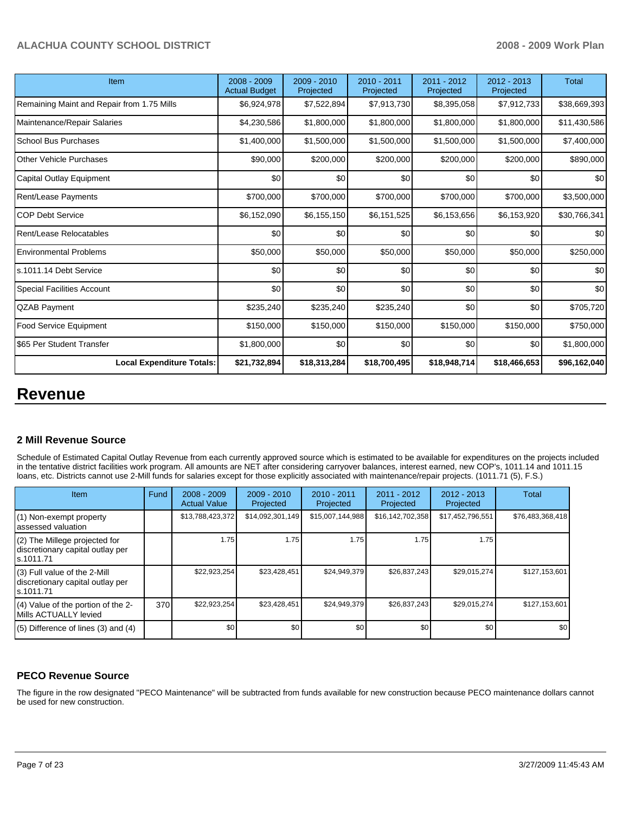| Item                                       | 2008 - 2009<br><b>Actual Budget</b> | 2009 - 2010<br>Projected | $2010 - 2011$<br>Projected | 2011 - 2012<br>Projected | $2012 - 2013$<br>Projected | Total        |
|--------------------------------------------|-------------------------------------|--------------------------|----------------------------|--------------------------|----------------------------|--------------|
| Remaining Maint and Repair from 1.75 Mills | \$6,924,978                         | \$7,522,894              | \$7,913,730                | \$8,395,058              | \$7,912,733                | \$38,669,393 |
| Maintenance/Repair Salaries                | \$4,230,586                         | \$1,800,000              | \$1,800,000                | \$1,800,000              | \$1,800,000                | \$11,430,586 |
| <b>School Bus Purchases</b>                | \$1,400,000                         | \$1,500,000              | \$1,500,000                | \$1,500,000              | \$1,500,000                | \$7,400,000  |
| <b>Other Vehicle Purchases</b>             | \$90,000                            | \$200,000                | \$200,000                  | \$200,000                | \$200,000                  | \$890,000    |
| Capital Outlay Equipment                   | \$0                                 | \$0                      | \$0                        | \$0                      | \$0                        | \$0          |
| <b>Rent/Lease Payments</b>                 | \$700,000                           | \$700,000                | \$700,000                  | \$700,000                | \$700,000                  | \$3,500,000  |
| <b>COP Debt Service</b>                    | \$6,152,090                         | \$6,155,150              | \$6,151,525                | \$6,153,656              | \$6,153,920                | \$30,766,341 |
| Rent/Lease Relocatables                    | \$0                                 | \$0                      | \$0                        | \$0                      | \$0                        | \$0          |
| <b>Environmental Problems</b>              | \$50,000                            | \$50,000                 | \$50,000                   | \$50,000                 | \$50,000                   | \$250,000    |
| ls.1011.14 Debt Service                    | \$0                                 | \$0                      | \$0                        | \$0                      | \$0                        | \$0          |
| <b>Special Facilities Account</b>          | \$0                                 | \$0                      | \$0                        | \$0                      | \$0                        | \$0          |
| <b>QZAB Payment</b>                        | \$235,240                           | \$235,240                | \$235,240                  | \$0                      | \$0                        | \$705,720    |
| <b>Food Service Equipment</b>              | \$150,000                           | \$150,000                | \$150,000                  | \$150,000                | \$150,000                  | \$750,000    |
| \$65 Per Student Transfer                  | \$1,800,000                         | \$0                      | \$0                        | \$0                      | \$0                        | \$1,800,000  |
| <b>Local Expenditure Totals:</b>           | \$21,732,894                        | \$18,313,284             | \$18,700,495               | \$18,948,714             | \$18,466,653               | \$96,162,040 |

# **Revenue**

### **2 Mill Revenue Source**

Schedule of Estimated Capital Outlay Revenue from each currently approved source which is estimated to be available for expenditures on the projects included in the tentative district facilities work program. All amounts are NET after considering carryover balances, interest earned, new COP's, 1011.14 and 1011.15 loans, etc. Districts cannot use 2-Mill funds for salaries except for those explicitly associated with maintenance/repair projects. (1011.71 (5), F.S.)

| Item                                                                             | Fund | $2008 - 2009$<br><b>Actual Value</b> | $2009 - 2010$<br>Projected | 2010 - 2011<br>Projected | $2011 - 2012$<br>Projected | $2012 - 2013$<br>Projected | Total            |
|----------------------------------------------------------------------------------|------|--------------------------------------|----------------------------|--------------------------|----------------------------|----------------------------|------------------|
| (1) Non-exempt property<br>lassessed valuation                                   |      | \$13,788,423,372                     | \$14,092,301,149           | \$15,007,144,988         | \$16,142,702,358           | \$17,452,796,551           | \$76,483,368,418 |
| (2) The Millege projected for<br>discretionary capital outlay per<br>ls.1011.71  |      | 1.75                                 | 1.75                       | 1.75                     | 1.75                       | 1.75                       |                  |
| $(3)$ Full value of the 2-Mill<br>discretionary capital outlay per<br>ls.1011.71 |      | \$22,923,254                         | \$23,428,451               | \$24,949,379             | \$26,837,243               | \$29,015,274               | \$127,153,601    |
| (4) Value of the portion of the 2-<br>IMills ACTUALLY levied                     | 370  | \$22,923,254                         | \$23,428,451               | \$24,949,379             | \$26,837,243               | \$29,015,274               | \$127,153,601    |
| $(5)$ Difference of lines $(3)$ and $(4)$                                        |      | \$0                                  | \$0 <sub>1</sub>           | \$0                      | \$0                        | \$0                        | \$0              |

### **PECO Revenue Source**

The figure in the row designated "PECO Maintenance" will be subtracted from funds available for new construction because PECO maintenance dollars cannot be used for new construction.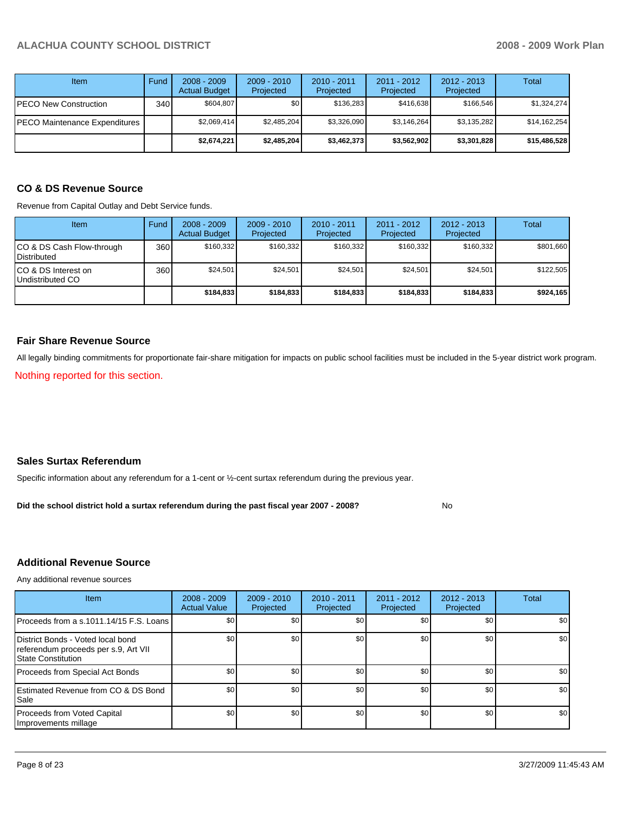| <b>Item</b>                   | Fund | $2008 - 2009$<br><b>Actual Budget</b> | $2009 - 2010$<br>Projected | $2010 - 2011$<br>Projected | $2011 - 2012$<br>Projected | $2012 - 2013$<br>Projected | Total        |
|-------------------------------|------|---------------------------------------|----------------------------|----------------------------|----------------------------|----------------------------|--------------|
| PECO New Construction         | 340  | \$604.807                             | \$0 <sub>1</sub>           | \$136.283                  | \$416.638                  | \$166.546                  | \$1,324,274  |
| PECO Maintenance Expenditures |      | \$2.069.414                           | \$2,485,204                | \$3,326,090                | \$3,146,264                | \$3,135,282                | \$14,162,254 |
|                               |      | \$2,674,221                           | \$2,485,204                | \$3,462,373                | \$3,562,902                | \$3,301,828                | \$15,486,528 |

# **CO & DS Revenue Source**

Revenue from Capital Outlay and Debt Service funds.

| <b>Item</b>                                        | Fund | $2008 - 2009$<br><b>Actual Budget</b> | $2009 - 2010$<br>Projected | $2010 - 2011$<br>Projected | $2011 - 2012$<br>Projected | $2012 - 2013$<br>Projected | Total     |
|----------------------------------------------------|------|---------------------------------------|----------------------------|----------------------------|----------------------------|----------------------------|-----------|
| ICO & DS Cash Flow-through<br><b>I</b> Distributed | 360  | \$160.332                             | \$160.332                  | \$160.332                  | \$160.332                  | \$160,332                  | \$801,660 |
| ICO & DS Interest on<br>Undistributed CO           | 360  | \$24,501                              | \$24.501                   | \$24.501                   | \$24.501                   | \$24,501                   | \$122.505 |
|                                                    |      | \$184,833                             | \$184.833                  | \$184,833                  | \$184.833                  | \$184,833                  | \$924,165 |

#### **Fair Share Revenue Source**

All legally binding commitments for proportionate fair-share mitigation for impacts on public school facilities must be included in the 5-year district work program.

Nothing reported for this section.

#### **Sales Surtax Referendum**

Specific information about any referendum for a 1-cent or ½-cent surtax referendum during the previous year.

**Did the school district hold a surtax referendum during the past fiscal year 2007 - 2008?** No

### **Additional Revenue Source**

Any additional revenue sources

| <b>Item</b>                                                                                     | $2008 - 2009$<br><b>Actual Value</b> | $2009 - 2010$<br>Projected | $2010 - 2011$<br>Projected | $2011 - 2012$<br>Projected | $2012 - 2013$<br>Projected | Total |
|-------------------------------------------------------------------------------------------------|--------------------------------------|----------------------------|----------------------------|----------------------------|----------------------------|-------|
| Proceeds from a s.1011.14/15 F.S. Loans                                                         | \$0 <sub>1</sub>                     | \$0 <sub>1</sub>           | \$0                        | \$0                        | \$0                        | \$0   |
| District Bonds - Voted local bond<br>referendum proceeds per s.9, Art VII<br>State Constitution | \$0 <sub>1</sub>                     | \$0 <sub>1</sub>           | \$0                        | \$0                        | \$0                        | \$0   |
| Proceeds from Special Act Bonds                                                                 | \$0 <sub>1</sub>                     | \$0 <sub>1</sub>           | \$0                        | \$0                        | \$0                        | \$0   |
| Estimated Revenue from CO & DS Bond<br><b>I</b> Sale                                            | \$0                                  | \$0 <sub>1</sub>           | \$0                        | \$0                        | \$0                        | \$0   |
| Proceeds from Voted Capital<br>Improvements millage                                             | \$0 <sub>1</sub>                     | \$0 <sub>1</sub>           | \$0                        | \$0                        | \$0                        | \$0   |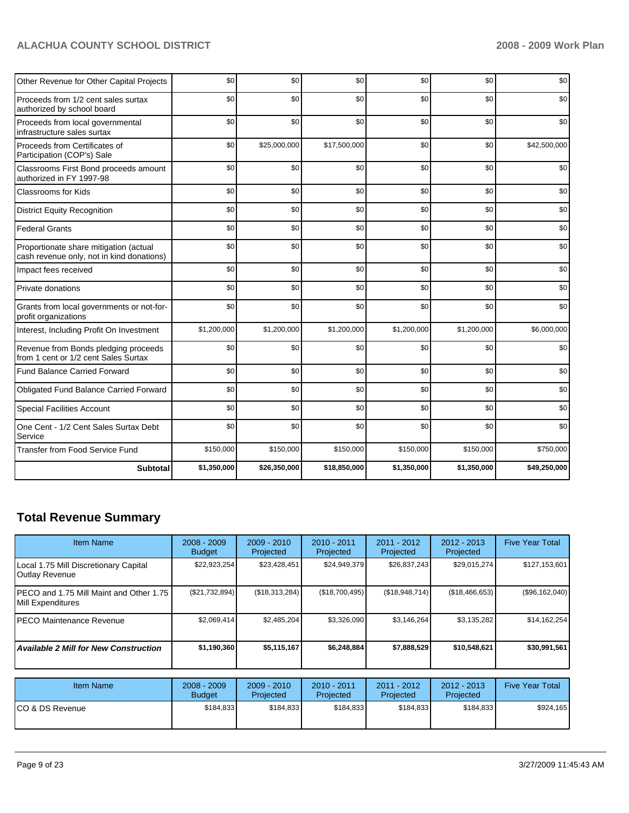| Other Revenue for Other Capital Projects                                            | \$0         | \$0          | \$0          | \$0         | \$0         | \$0          |
|-------------------------------------------------------------------------------------|-------------|--------------|--------------|-------------|-------------|--------------|
| Proceeds from 1/2 cent sales surtax<br>authorized by school board                   | \$0         | \$0          | \$0          | \$0         | \$0         | \$0          |
| Proceeds from local governmental<br>infrastructure sales surtax                     | \$0         | \$0          | \$0          | \$0         | \$0         | \$0          |
| Proceeds from Certificates of<br>Participation (COP's) Sale                         | \$0         | \$25,000,000 | \$17,500,000 | \$0         | \$0         | \$42,500,000 |
| Classrooms First Bond proceeds amount<br>authorized in FY 1997-98                   | \$0         | \$0          | \$0          | \$0         | \$0         | \$0          |
| <b>Classrooms for Kids</b>                                                          | \$0         | \$0          | \$0          | \$0         | \$0         | \$0          |
| <b>District Equity Recognition</b>                                                  | \$0         | \$0          | \$0          | \$0         | \$0         | \$0          |
| <b>Federal Grants</b>                                                               | \$0         | \$0          | \$0          | \$0         | \$0         | \$0          |
| Proportionate share mitigation (actual<br>cash revenue only, not in kind donations) | \$0         | \$0          | \$0          | \$0         | \$0         | \$0          |
| Impact fees received                                                                | \$0         | \$0          | \$0          | \$0         | \$0         | \$0          |
| Private donations                                                                   | \$0         | \$0          | \$0          | \$0         | \$0         | \$0          |
| Grants from local governments or not-for-<br>profit organizations                   | \$0         | \$0          | \$0          | \$0         | \$0         | \$0          |
| Interest, Including Profit On Investment                                            | \$1,200,000 | \$1,200,000  | \$1,200,000  | \$1,200,000 | \$1,200,000 | \$6,000,000  |
| Revenue from Bonds pledging proceeds<br>from 1 cent or 1/2 cent Sales Surtax        | \$0         | \$0          | \$0          | \$0         | \$0         | \$0          |
| <b>Fund Balance Carried Forward</b>                                                 | \$0         | \$0          | \$0          | \$0         | \$0         | \$0          |
| <b>Obligated Fund Balance Carried Forward</b>                                       | \$0         | \$0          | \$0          | \$0         | \$0         | \$0          |
| <b>Special Facilities Account</b>                                                   | \$0         | \$0          | \$0          | \$0         | \$0         | \$0          |
| One Cent - 1/2 Cent Sales Surtax Debt<br>Service                                    | \$0         | \$0          | \$0          | \$0         | \$0         | \$0          |
| Transfer from Food Service Fund                                                     | \$150,000   | \$150,000    | \$150,000    | \$150,000   | \$150,000   | \$750,000    |
| <b>Subtotal</b>                                                                     | \$1,350,000 | \$26,350,000 | \$18,850,000 | \$1,350,000 | \$1,350,000 | \$49,250,000 |

# **Total Revenue Summary**

| <b>Item Name</b>                                              | $2008 - 2009$<br><b>Budget</b> | $2009 - 2010$<br>Projected | $2010 - 2011$<br>Projected | $2011 - 2012$<br>Projected | $2012 - 2013$<br>Projected | <b>Five Year Total</b> |
|---------------------------------------------------------------|--------------------------------|----------------------------|----------------------------|----------------------------|----------------------------|------------------------|
| Local 1.75 Mill Discretionary Capital<br>Outlay Revenue       | \$22,923,254                   | \$23,428,451               | \$24,949,379               | \$26,837,243               | \$29,015,274               | \$127,153,601          |
| IPECO and 1.75 Mill Maint and Other 1.75<br>Mill Expenditures | (S21,732,894)                  | (S18, 313, 284)            | (\$18,700,495)             | (\$18,948,714)             | (\$18,466,653)             | (\$96,162,040)         |
| IPECO Maintenance Revenue                                     | \$2.069.414                    | \$2,485,204                | \$3,326,090                | \$3,146,264                | \$3,135,282                | \$14,162,254           |
| <b>Available 2 Mill for New Construction</b>                  | \$1,190,360                    | \$5,115,167                | \$6,248,884                | \$7,888,529                | \$10,548,621               | \$30,991,561           |

| <b>Item Name</b> | $2008 - 2009$<br><b>Budget</b> | $2009 - 2010$<br>Projected | $2010 - 2011$<br>Projected | 2011 - 2012<br>Projected | 2012 - 2013<br>Projected | <b>Five Year Total</b> |
|------------------|--------------------------------|----------------------------|----------------------------|--------------------------|--------------------------|------------------------|
| ICO & DS Revenue | \$184.833                      | \$184,833                  | \$184.833                  | \$184.833                | \$184.833                | \$924.165              |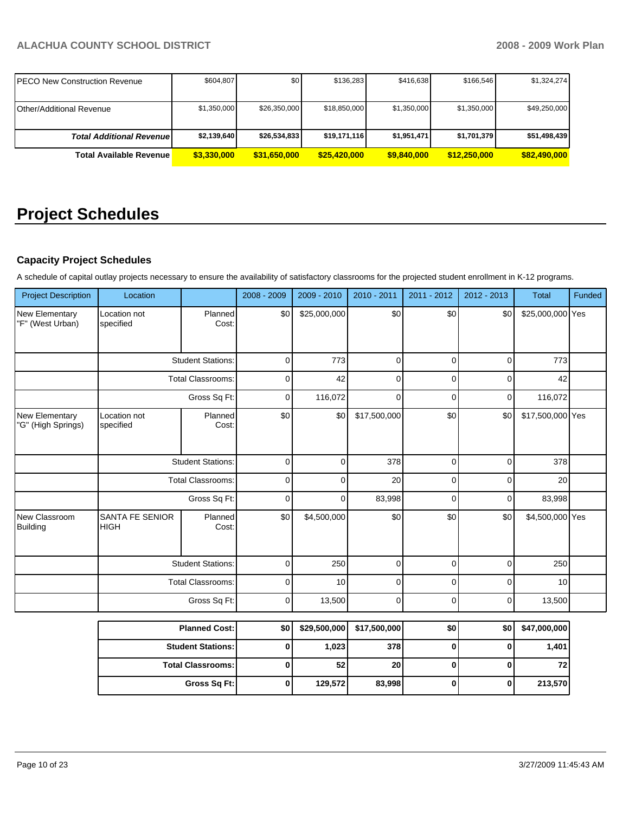| IPECO New Construction Revenue   | \$604.807   | \$0          | \$136.283    | \$416.638   | \$166.546    | \$1,324,274  |
|----------------------------------|-------------|--------------|--------------|-------------|--------------|--------------|
| IOther/Additional Revenue        | \$1,350,000 | \$26,350,000 | \$18,850,000 | \$1,350,000 | \$1,350,000  | \$49,250,000 |
| <b>Total Additional Revenuel</b> | \$2,139,640 | \$26,534,833 | \$19,171,116 | \$1,951,471 | \$1,701,379  | \$51,498,439 |
| <b>Total Available Revenue</b>   | \$3,330,000 | \$31,650,000 | \$25,420,000 | \$9,840,000 | \$12.250.000 | \$82,490,000 |

# **Project Schedules**

### **Capacity Project Schedules**

A schedule of capital outlay projects necessary to ensure the availability of satisfactory classrooms for the projected student enrollment in K-12 programs.

| <b>Project Description</b>                | Location                       |                          | 2008 - 2009 | 2009 - 2010  | 2010 - 2011  | 2011 - 2012    | $2012 - 2013$ | <b>Total</b>     | Funded |
|-------------------------------------------|--------------------------------|--------------------------|-------------|--------------|--------------|----------------|---------------|------------------|--------|
| <b>New Elementary</b><br>"F" (West Urban) | Location not<br>specified      | Planned<br>Cost:         | \$0         | \$25,000,000 | \$0          | \$0            | \$0           | \$25,000,000 Yes |        |
|                                           |                                | <b>Student Stations:</b> | $\mathbf 0$ | 773          | $\mathbf 0$  | 0              | 0             | 773              |        |
|                                           |                                | <b>Total Classrooms:</b> |             | 42           | $\pmb{0}$    | 0              | $\mathbf 0$   | 42               |        |
|                                           |                                | Gross Sq Ft:             | 0           | 116,072      | $\mathbf 0$  | 0              | 0             | 116,072          |        |
| New Elementary<br>"G" (High Springs)      | Location not<br>specified      | Planned<br>Cost:         | \$0         | \$0          | \$17,500,000 | \$0            | \$0           | \$17,500,000 Yes |        |
|                                           |                                | <b>Student Stations:</b> | $\mathbf 0$ | 0            | 378          | 0              | 0             | 378              |        |
|                                           | <b>Total Classrooms:</b>       |                          | $\mathbf 0$ | 0            | 20           | 0              | 0             | 20               |        |
|                                           |                                | Gross Sq Ft:             | $\mathbf 0$ | $\mathbf{0}$ | 83,998       | 0              | 0             | 83,998           |        |
| New Classroom<br>Building                 | SANTA FE SENIOR<br><b>HIGH</b> | Planned<br>Cost:         | \$0         | \$4,500,000  | \$0          | \$0            | \$0           | \$4,500,000 Yes  |        |
|                                           |                                | <b>Student Stations:</b> | $\mathbf 0$ | 250          | $\mathbf 0$  | $\overline{0}$ | 0             | 250              |        |
|                                           |                                | <b>Total Classrooms:</b> | $\mathbf 0$ | 10           | 0            | 0              | 0             | 10               |        |
|                                           |                                | Gross Sq Ft:             | $\mathbf 0$ | 13,500       | $\mathbf 0$  | 0              | 0             | 13,500           |        |
|                                           |                                | <b>Planned Cost:</b>     | \$0         | \$29,500,000 | \$17,500,000 | \$0            | \$0           | \$47,000,000     |        |
|                                           |                                | <b>Student Stations:</b> | $\pmb{0}$   | 1,023        | 378          | $\bf{0}$       | 0             | 1,401            |        |
|                                           |                                | <b>Total Classrooms:</b> | $\mathbf 0$ | 52           | 20           | 0              | 0             | 72               |        |
|                                           |                                | Gross Sq Ft:             | $\pmb{0}$   | 129,572      | 83,998       | 0              | $\bf{0}$      | 213,570          |        |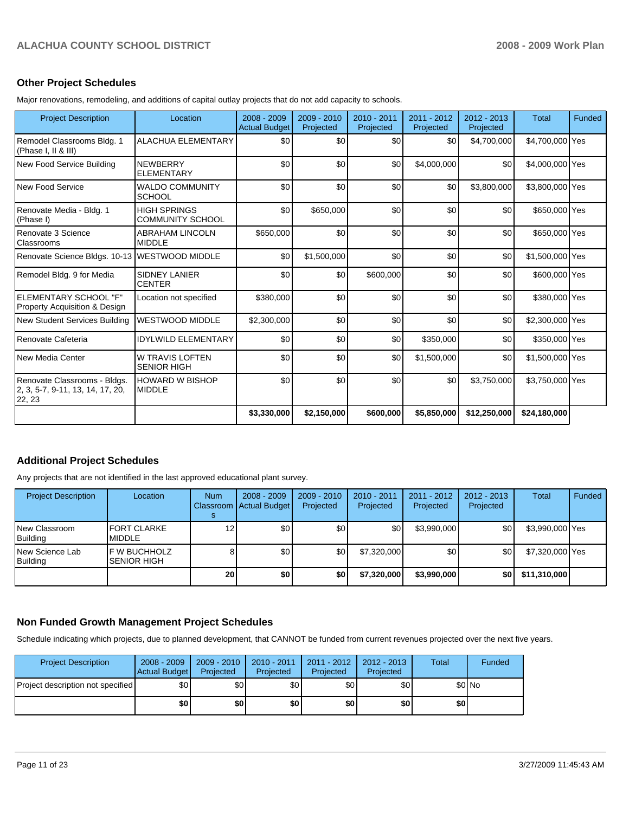### **Other Project Schedules**

Major renovations, remodeling, and additions of capital outlay projects that do not add capacity to schools.

| <b>Project Description</b>                                                 | Location                                       | 2008 - 2009<br><b>Actual Budget</b> | 2009 - 2010<br>Projected | $2010 - 2011$<br>Projected | 2011 - 2012<br>Projected | 2012 - 2013<br>Projected | <b>Total</b>    | Funded |
|----------------------------------------------------------------------------|------------------------------------------------|-------------------------------------|--------------------------|----------------------------|--------------------------|--------------------------|-----------------|--------|
| Remodel Classrooms Bldg. 1<br>(Phase I, II & III)                          | <b>ALACHUA ELEMENTARY</b>                      | \$0                                 | \$0                      | \$0                        | \$0                      | \$4,700,000              | \$4,700,000 Yes |        |
| New Food Service Building                                                  | <b>NEWBERRY</b><br><b>ELEMENTARY</b>           | \$0                                 | \$0                      | \$0                        | \$4,000,000              | \$0                      | \$4,000,000 Yes |        |
| New Food Service                                                           | <b>WALDO COMMUNITY</b><br><b>SCHOOL</b>        | \$0                                 | \$0                      | \$0                        | \$0                      | \$3,800,000              | \$3,800,000 Yes |        |
| Renovate Media - Bldg. 1<br>(Phase I)                                      | <b>HIGH SPRINGS</b><br><b>COMMUNITY SCHOOL</b> | \$0                                 | \$650,000                | \$0                        | \$0                      | \$0                      | \$650,000 Yes   |        |
| Renovate 3 Science<br>Classrooms                                           | <b>ABRAHAM LINCOLN</b><br><b>MIDDLE</b>        | \$650,000                           | \$0                      | \$0                        | \$0                      | \$0                      | \$650,000 Yes   |        |
| Renovate Science Bldgs. 10-13 WESTWOOD MIDDLE                              |                                                | \$0                                 | \$1,500,000              | \$0                        | \$0                      | \$0                      | \$1,500,000 Yes |        |
| Remodel Bldg. 9 for Media                                                  | <b>SIDNEY LANIER</b><br><b>CENTER</b>          | \$0                                 | \$0                      | \$600,000                  | \$0                      | \$0                      | \$600,000 Yes   |        |
| ELEMENTARY SCHOOL "F"<br><b>Property Acquisition &amp; Design</b>          | Location not specified                         | \$380,000                           | \$0                      | \$0                        | \$0                      | \$0                      | \$380,000 Yes   |        |
| New Student Services Building                                              | <b>WESTWOOD MIDDLE</b>                         | \$2,300,000                         | \$0                      | \$0                        | \$0                      | \$0                      | \$2,300,000 Yes |        |
| Renovate Cafeteria                                                         | <b>IDYLWILD ELEMENTARY</b>                     | \$0                                 | \$0                      | \$0                        | \$350,000                | \$0                      | \$350,000 Yes   |        |
| New Media Center                                                           | <b>W TRAVIS LOFTEN</b><br><b>SENIOR HIGH</b>   | \$0                                 | \$0                      | \$0                        | \$1,500,000              | \$0                      | \$1,500,000 Yes |        |
| Renovate Classrooms - Bldgs.<br>2, 3, 5-7, 9-11, 13, 14, 17, 20,<br>22, 23 | <b>HOWARD W BISHOP</b><br><b>MIDDLE</b>        | \$0                                 | \$0                      | \$0                        | \$0                      | \$3.750.000              | \$3,750,000 Yes |        |
|                                                                            |                                                | \$3,330,000                         | \$2,150,000              | \$600,000                  | \$5,850,000              | \$12,250,000             | \$24,180,000    |        |

## **Additional Project Schedules**

Any projects that are not identified in the last approved educational plant survey.

| <b>Project Description</b>         | Location                                   | <b>Num</b>        | $2008 - 2009$<br>Classroom   Actual Budget | $2009 - 2010$<br>Projected | 2010 - 2011<br>Projected | $2011 - 2012$<br>Projected | 2012 - 2013<br>Projected | Total           | Funded |
|------------------------------------|--------------------------------------------|-------------------|--------------------------------------------|----------------------------|--------------------------|----------------------------|--------------------------|-----------------|--------|
| New Classroom<br><b>Building</b>   | <b>IFORT CLARKE</b><br><b>MIDDLE</b>       | $12 \overline{ }$ | \$0 <sub>1</sub>                           | \$0                        | \$0                      | \$3,990,000                | \$0                      | \$3,990,000 Yes |        |
| New Science Lab<br><b>Building</b> | <b>IF W BUCHHOLZ</b><br><b>SENIOR HIGH</b> |                   | \$0                                        | \$0                        | \$7,320,000              | \$0                        | \$0                      | \$7,320,000 Yes |        |
|                                    |                                            | 20 <sub>l</sub>   | \$0                                        | \$0                        | \$7,320,000              | \$3,990,000                | \$0                      | \$11,310,000    |        |

### **Non Funded Growth Management Project Schedules**

Schedule indicating which projects, due to planned development, that CANNOT be funded from current revenues projected over the next five years.

| <b>Project Description</b>        | $2008 - 2009$<br>Actual Budget | $2009 - 2010$<br>Projected | $2010 - 2011$<br>Projected | $2011 - 2012$<br>Projected | $2012 - 2013$<br>Projected | Total | Funded |
|-----------------------------------|--------------------------------|----------------------------|----------------------------|----------------------------|----------------------------|-------|--------|
| Project description not specified | \$0 <sub>1</sub>               | \$0 <sub>1</sub>           | \$0                        | \$0                        | \$0                        |       | \$0 No |
|                                   | \$0                            | \$0                        | \$0                        | \$0                        | \$0                        | \$0   |        |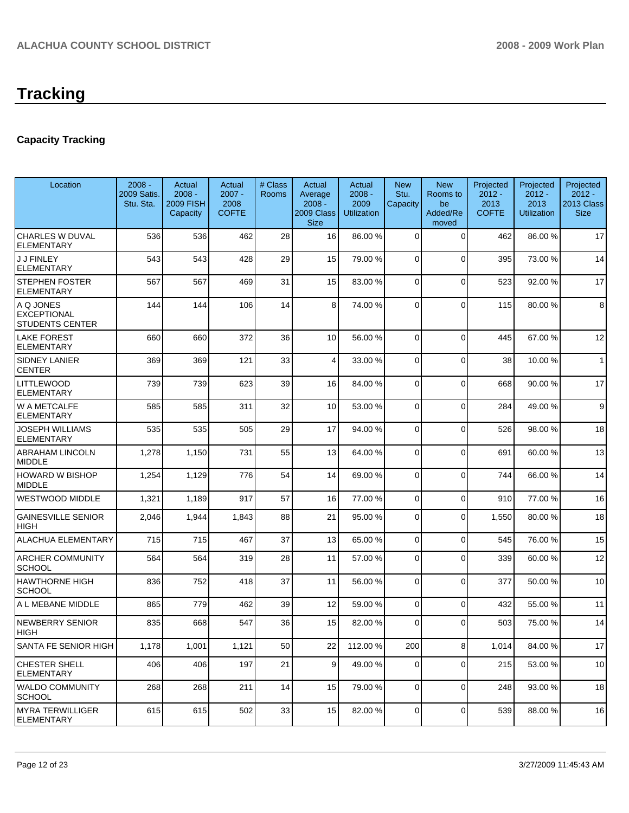# **Tracking**

# **Capacity Tracking**

| Location                                                  | $2008 -$<br>2009 Satis.<br>Stu. Sta. | Actual<br>$2008 -$<br><b>2009 FISH</b><br>Capacity | Actual<br>$2007 -$<br>2008<br><b>COFTE</b> | # Class<br>Rooms | Actual<br>Average<br>$2008 -$<br>2009 Class<br><b>Size</b> | Actual<br>$2008 -$<br>2009<br><b>Utilization</b> | <b>New</b><br>Stu.<br>Capacity | <b>New</b><br>Rooms to<br>be<br>Added/Re<br>moved | Projected<br>$2012 -$<br>2013<br><b>COFTE</b> | Projected<br>$2012 -$<br>2013<br><b>Utilization</b> | Projected<br>$2012 -$<br>2013 Class<br><b>Size</b> |
|-----------------------------------------------------------|--------------------------------------|----------------------------------------------------|--------------------------------------------|------------------|------------------------------------------------------------|--------------------------------------------------|--------------------------------|---------------------------------------------------|-----------------------------------------------|-----------------------------------------------------|----------------------------------------------------|
| <b>CHARLES W DUVAL</b><br><b>ELEMENTARY</b>               | 536                                  | 536                                                | 462                                        | 28               | 16                                                         | 86.00 %                                          | $\Omega$                       | 0                                                 | 462                                           | 86.00 %                                             | 17                                                 |
| <b>J J FINLEY</b><br><b>ELEMENTARY</b>                    | 543                                  | 543                                                | 428                                        | 29               | 15                                                         | 79.00 %                                          | $\Omega$                       | $\Omega$                                          | 395                                           | 73.00 %                                             | 14                                                 |
| <b>STEPHEN FOSTER</b><br>ELEMENTARY                       | 567                                  | 567                                                | 469                                        | 31               | 15                                                         | 83.00 %                                          | 0                              | $\mathbf 0$                                       | 523                                           | 92.00 %                                             | 17                                                 |
| A Q JONES<br><b>EXCEPTIONAL</b><br><b>STUDENTS CENTER</b> | 144                                  | 144                                                | 106                                        | 14               | 8                                                          | 74.00 %                                          | 0                              | $\Omega$                                          | 115                                           | 80.00 %                                             | 8                                                  |
| <b>LAKE FOREST</b><br><b>ELEMENTARY</b>                   | 660                                  | 660                                                | 372                                        | 36               | 10                                                         | 56.00 %                                          | $\mathbf 0$                    | $\Omega$                                          | 445                                           | 67.00 %                                             | 12                                                 |
| SIDNEY LANIER<br>CENTER                                   | 369                                  | 369                                                | 121                                        | 33               | 4                                                          | 33.00 %                                          | 0                              | $\Omega$                                          | 38                                            | 10.00 %                                             | $\overline{1}$                                     |
| LITTLEWOOD<br>ELEMENTARY                                  | 739                                  | 739                                                | 623                                        | 39               | 16                                                         | 84.00 %                                          | $\Omega$                       | $\mathbf 0$                                       | 668                                           | 90.00 %                                             | 17                                                 |
| W A METCALFE<br>ELEMENTARY                                | 585                                  | 585                                                | 311                                        | 32               | 10                                                         | 53.00 %                                          | $\Omega$                       | $\Omega$                                          | 284                                           | 49.00 %                                             | 9                                                  |
| JOSEPH WILLIAMS<br>ELEMENTARY                             | 535                                  | 535                                                | 505                                        | 29               | 17                                                         | 94.00%                                           | $\mathbf 0$                    | $\Omega$                                          | 526                                           | 98.00 %                                             | 18                                                 |
| <b>ABRAHAM LINCOLN</b><br><b>MIDDLE</b>                   | 1,278                                | 1,150                                              | 731                                        | 55               | 13                                                         | 64.00 %                                          | $\Omega$                       | $\Omega$                                          | 691                                           | 60.00 %                                             | 13                                                 |
| HOWARD W BISHOP<br><b>MIDDLE</b>                          | 1,254                                | 1,129                                              | 776                                        | 54               | 14                                                         | 69.00 %                                          | $\Omega$                       | $\Omega$                                          | 744                                           | 66.00 %                                             | 14                                                 |
| WESTWOOD MIDDLE                                           | 1,321                                | 1,189                                              | 917                                        | 57               | 16                                                         | 77.00 %                                          | $\Omega$                       | $\Omega$                                          | 910                                           | 77.00 %                                             | 16                                                 |
| <b>GAINESVILLE SENIOR</b><br>HIGH                         | 2,046                                | 1,944                                              | 1,843                                      | 88               | 21                                                         | 95.00 %                                          | $\Omega$                       | $\Omega$                                          | 1,550                                         | 80.00 %                                             | 18                                                 |
| ALACHUA ELEMENTARY                                        | 715                                  | 715                                                | 467                                        | 37               | 13                                                         | 65.00 %                                          | 0                              | $\Omega$                                          | 545                                           | 76.00 %                                             | 15                                                 |
| <b>ARCHER COMMUNITY</b><br><b>SCHOOL</b>                  | 564                                  | 564                                                | 319                                        | 28               | 11                                                         | 57.00 %                                          | 0                              | $\Omega$                                          | 339                                           | 60.00 %                                             | 12                                                 |
| <b>HAWTHORNE HIGH</b><br><b>SCHOOL</b>                    | 836                                  | 752                                                | 418                                        | 37               | 11                                                         | 56.00 %                                          | $\Omega$                       | $\Omega$                                          | 377                                           | 50.00 %                                             | 10                                                 |
| A L MEBANE MIDDLE                                         | 865                                  | 779                                                | 462                                        | 39               | 12                                                         | 59.00 %                                          | $\Omega$                       | 0                                                 | 432                                           | 55.00 %                                             | 11                                                 |
| <b>NEWBERRY SENIOR</b><br><b>HIGH</b>                     | 835                                  | 668                                                | 547                                        | 36               | 15                                                         | 82.00 %                                          | 0                              | $\Omega$                                          | 503                                           | 75.00 %                                             | 14                                                 |
| SANTA FE SENIOR HIGH                                      | 1,178                                | 1,001                                              | 1,121                                      | 50               | 22                                                         | 112.00%                                          | 200                            | 8                                                 | 1,014                                         | 84.00 %                                             | 17                                                 |
| CHESTER SHELL<br><b>ELEMENTARY</b>                        | 406                                  | 406                                                | 197                                        | 21               | 9 <sub>o</sub>                                             | 49.00 %                                          | $\overline{0}$                 | 0                                                 | 215                                           | 53.00 %                                             | 10                                                 |
| <b>WALDO COMMUNITY</b><br><b>SCHOOL</b>                   | 268                                  | 268                                                | 211                                        | 14               | 15                                                         | 79.00 %                                          | $\overline{0}$                 | $\mathbf 0$                                       | 248                                           | 93.00 %                                             | 18                                                 |
| <b>MYRA TERWILLIGER</b><br><b>ELEMENTARY</b>              | 615                                  | 615                                                | 502                                        | 33               | 15                                                         | 82.00 %                                          | $\overline{0}$                 | 0                                                 | 539                                           | 88.00 %                                             | 16                                                 |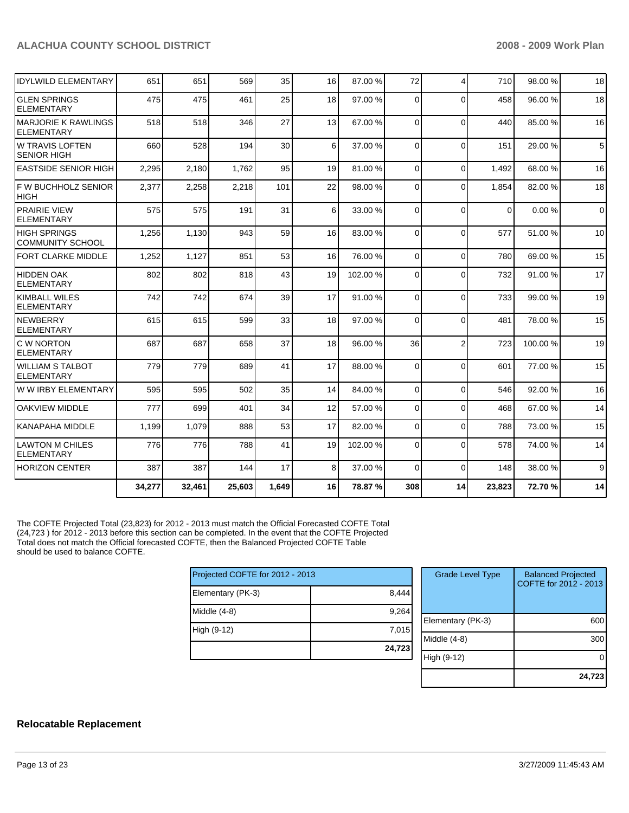| <b>IDYLWILD ELEMENTARY</b>                      | 651    | 651    | 569    | 35    | 16 | 87.00 % | 72             | $\overline{\mathbf{4}}$ | 710      | 98.00 % | 18             |
|-------------------------------------------------|--------|--------|--------|-------|----|---------|----------------|-------------------------|----------|---------|----------------|
| <b>GLEN SPRINGS</b><br><b>ELEMENTARY</b>        | 475    | 475    | 461    | 25    | 18 | 97.00 % | $\Omega$       | $\Omega$                | 458      | 96.00 % | 18             |
| <b>MARJORIE K RAWLINGS</b><br><b>ELEMENTARY</b> | 518    | 518    | 346    | 27    | 13 | 67.00 % | 0              | $\Omega$                | 440      | 85.00 % | 16             |
| IW TRAVIS LOFTEN<br><b>SENIOR HIGH</b>          | 660    | 528    | 194    | 30    | 6  | 37.00 % | 0              | $\Omega$                | 151      | 29.00 % | $\overline{5}$ |
| <b>EASTSIDE SENIOR HIGH</b>                     | 2,295  | 2,180  | 1,762  | 95    | 19 | 81.00 % | $\Omega$       | $\Omega$                | 1,492    | 68.00 % | 16             |
| IF W BUCHHOLZ SENIOR<br><b>HIGH</b>             | 2,377  | 2,258  | 2,218  | 101   | 22 | 98.00 % | $\Omega$       | $\Omega$                | 1,854    | 82.00 % | 18             |
| <b>PRAIRIE VIEW</b><br><b>ELEMENTARY</b>        | 575    | 575    | 191    | 31    | 6  | 33.00 % | 0              | $\Omega$                | $\Omega$ | 0.00%   | $\mathbf 0$    |
| <b>HIGH SPRINGS</b><br><b>COMMUNITY SCHOOL</b>  | 1,256  | 1,130  | 943    | 59    | 16 | 83.00 % | 0              | $\Omega$                | 577      | 51.00 % | 10             |
| <b>FORT CLARKE MIDDLE</b>                       | 1,252  | 1,127  | 851    | 53    | 16 | 76.00 % | $\Omega$       | $\Omega$                | 780      | 69.00 % | 15             |
| <b>HIDDEN OAK</b><br><b>ELEMENTARY</b>          | 802    | 802    | 818    | 43    | 19 | 102.00% | 0              | $\Omega$                | 732      | 91.00 % | 17             |
| <b>KIMBALL WILES</b><br><b>ELEMENTARY</b>       | 742    | 742    | 674    | 39    | 17 | 91.00 % | 0              | $\Omega$                | 733      | 99.00 % | 19             |
| NEWBERRY<br><b>ELEMENTARY</b>                   | 615    | 615    | 599    | 33    | 18 | 97.00 % | 0              | $\Omega$                | 481      | 78.00 % | 15             |
| <b>C W NORTON</b><br><b>ELEMENTARY</b>          | 687    | 687    | 658    | 37    | 18 | 96.00 % | 36             | $\overline{2}$          | 723      | 100.00% | 19             |
| <b>WILLIAM S TALBOT</b><br>ELEMENTARY           | 779    | 779    | 689    | 41    | 17 | 88.00 % | $\mathbf 0$    | $\Omega$                | 601      | 77.00 % | 15             |
| W W IRBY ELEMENTARY                             | 595    | 595    | 502    | 35    | 14 | 84.00 % | 0              | $\Omega$                | 546      | 92.00 % | 16             |
| <b>OAKVIEW MIDDLE</b>                           | 777    | 699    | 401    | 34    | 12 | 57.00 % | $\overline{0}$ | $\Omega$                | 468      | 67.00 % | 14             |
| KANAPAHA MIDDLE                                 | 1,199  | 1,079  | 888    | 53    | 17 | 82.00 % | 0              | $\Omega$                | 788      | 73.00 % | 15             |
| <b>LAWTON M CHILES</b><br><b>ELEMENTARY</b>     | 776    | 776    | 788    | 41    | 19 | 102.00% | 0              | $\Omega$                | 578      | 74.00 % | 14             |
| <b>HORIZON CENTER</b>                           | 387    | 387    | 144    | 17    | 8  | 37.00 % | $\Omega$       | $\Omega$                | 148      | 38.00 % | 9              |
|                                                 | 34,277 | 32,461 | 25,603 | 1,649 | 16 | 78.87 % | 308            | 14                      | 23,823   | 72.70 % | 14             |

The COFTE Projected Total (23,823) for 2012 - 2013 must match the Official Forecasted COFTE Total (24,723 ) for 2012 - 2013 before this section can be completed. In the event that the COFTE Projected Total does not match the Official forecasted COFTE, then the Balanced Projected COFTE Table should be used to balance COFTE.

| Projected COFTE for 2012 - 2013 |        |  |  |
|---------------------------------|--------|--|--|
| Elementary (PK-3)               | 8,444  |  |  |
| Middle (4-8)                    | 9,264  |  |  |
| High (9-12)                     | 7,015  |  |  |
|                                 | 24,723 |  |  |

| <b>Grade Level Type</b> | <b>Balanced Projected</b><br>COFTE for 2012 - 2013 |
|-------------------------|----------------------------------------------------|
| Elementary (PK-3)       | 600                                                |
| Middle (4-8)            | 300                                                |
| High (9-12)             |                                                    |
|                         | 24,723                                             |

#### **Relocatable Replacement**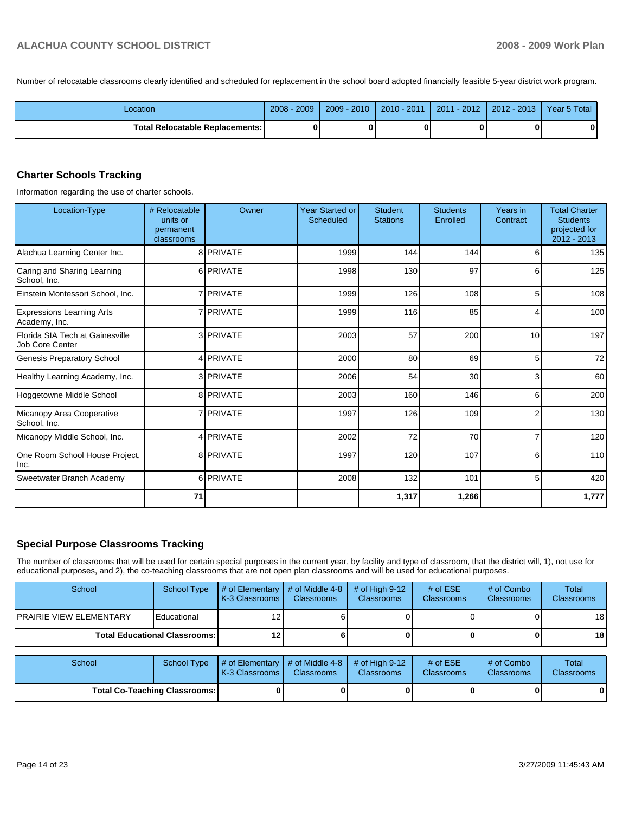Number of relocatable classrooms clearly identified and scheduled for replacement in the school board adopted financially feasible 5-year district work program.

| Location                          | 2009<br>$2008 -$ | $2009 - 2010$ | $2010 - 2011$ | 2011 - 2012 | 2012 - 2013 Year 5 Total |  |
|-----------------------------------|------------------|---------------|---------------|-------------|--------------------------|--|
| Total Relocatable Replacements: I |                  |               |               |             |                          |  |

### **Charter Schools Tracking**

Information regarding the use of charter schools.

| Location-Type                                      | # Relocatable<br>units or<br>permanent<br>classrooms | Owner            | <b>Year Started or</b><br><b>Scheduled</b> | Student<br><b>Stations</b> | <b>Students</b><br>Enrolled | Years in<br>Contract | <b>Total Charter</b><br><b>Students</b><br>projected for<br>$2012 - 2013$ |
|----------------------------------------------------|------------------------------------------------------|------------------|--------------------------------------------|----------------------------|-----------------------------|----------------------|---------------------------------------------------------------------------|
| Alachua Learning Center Inc.                       |                                                      | 8 PRIVATE        | 1999                                       | 144                        | 144                         | 6                    | 135                                                                       |
| Caring and Sharing Learning<br>School, Inc.        |                                                      | 6 PRIVATE        | 1998                                       | 130                        | 97                          | 6                    | 125                                                                       |
| Einstein Montessori School, Inc.                   |                                                      | 7 PRIVATE        | 1999                                       | 126                        | 108                         | 5                    | 108                                                                       |
| <b>Expressions Learning Arts</b><br>Academy, Inc.  |                                                      | 7 <b>PRIVATE</b> | 1999                                       | 116                        | 85                          | 4                    | 100                                                                       |
| Florida SIA Tech at Gainesville<br>Job Core Center |                                                      | 3 PRIVATE        | 2003                                       | 57                         | 200                         | 10                   | 197                                                                       |
| Genesis Preparatory School                         |                                                      | 4 PRIVATE        | 2000                                       | 80                         | 69                          | 5                    | 72                                                                        |
| Healthy Learning Academy, Inc.                     |                                                      | 3 PRIVATE        | 2006                                       | 54                         | 30 <sup>1</sup>             | 3                    | 60                                                                        |
| Hoggetowne Middle School                           |                                                      | 8 PRIVATE        | 2003                                       | 160                        | 146                         | 6                    | 200                                                                       |
| Micanopy Area Cooperative<br>School, Inc.          |                                                      | 7 <b>PRIVATE</b> | 1997                                       | 126                        | 109                         | 2                    | 130                                                                       |
| Micanopy Middle School, Inc.                       |                                                      | 4 PRIVATE        | 2002                                       | 72                         | 70                          | $\overline{7}$       | 120                                                                       |
| One Room School House Project,<br>Inc.             |                                                      | 8 PRIVATE        | 1997                                       | 120                        | 107                         | 6                    | 110                                                                       |
| Sweetwater Branch Academy                          |                                                      | 6 PRIVATE        | 2008                                       | 132                        | 101                         | 5                    | 420                                                                       |
|                                                    | 71                                                   |                  |                                            | 1,317                      | 1,266                       |                      | 1,777                                                                     |

### **Special Purpose Classrooms Tracking**

The number of classrooms that will be used for certain special purposes in the current year, by facility and type of classroom, that the district will, 1), not use for educational purposes, and 2), the co-teaching classrooms that are not open plan classrooms and will be used for educational purposes.

| School                               | <b>School Type</b>            | # of Elementary<br>K-3 Classrooms | # of Middle 4-8<br><b>Classrooms</b> | $#$ of High 9-12<br><b>Classrooms</b> | # of $ESE$<br>Classrooms | # of Combo<br><b>Classrooms</b> | Total<br><b>Classrooms</b> |
|--------------------------------------|-------------------------------|-----------------------------------|--------------------------------------|---------------------------------------|--------------------------|---------------------------------|----------------------------|
| IPRAIRIE VIEW ELEMENTARY             | Educational                   |                                   |                                      |                                       |                          |                                 | 18 <sup>l</sup>            |
| <b>Total Educational Classrooms:</b> |                               | 12                                |                                      |                                       |                          |                                 | 18 I                       |
|                                      |                               |                                   |                                      |                                       |                          |                                 |                            |
| School                               | <b>School Type</b>            | # of Elementary<br>K-3 Classrooms | # of Middle 4-8<br><b>Classrooms</b> | $#$ of High 9-12<br><b>Classrooms</b> | # of $ESE$<br>Classrooms | # of Combo<br><b>Classrooms</b> | Total<br><b>Classrooms</b> |
|                                      | Total Co-Teaching Classrooms: |                                   |                                      |                                       |                          |                                 | 01                         |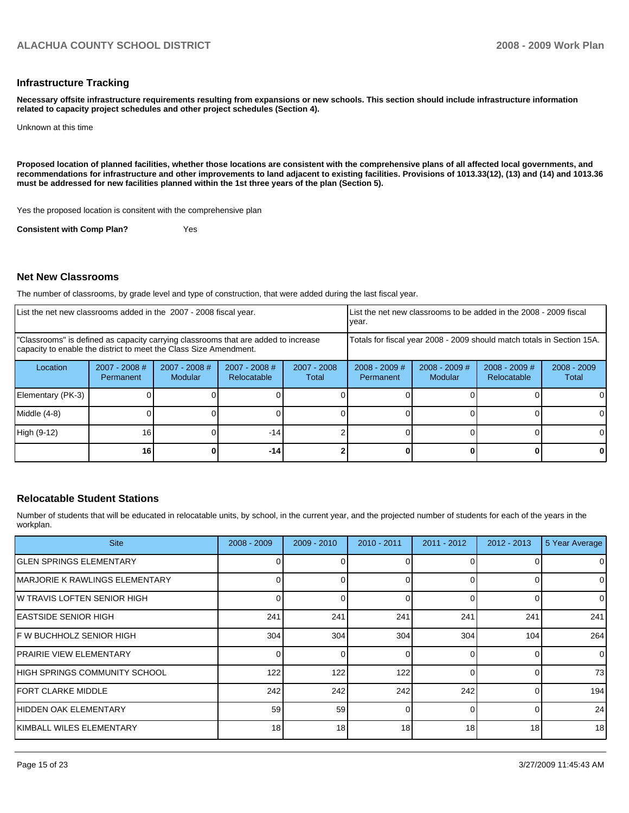#### **Infrastructure Tracking**

**Necessary offsite infrastructure requirements resulting from expansions or new schools. This section should include infrastructure information related to capacity project schedules and other project schedules (Section 4).** 

Unknown at this time

**Proposed location of planned facilities, whether those locations are consistent with the comprehensive plans of all affected local governments, and recommendations for infrastructure and other improvements to land adjacent to existing facilities. Provisions of 1013.33(12), (13) and (14) and 1013.36 must be addressed for new facilities planned within the 1st three years of the plan (Section 5).** 

Yes the proposed location is consitent with the comprehensive plan

**Consistent with Comp Plan?** Yes

#### **Net New Classrooms**

The number of classrooms, by grade level and type of construction, that were added during the last fiscal year.

| List the net new classrooms added in the 2007 - 2008 fiscal year.                                                                                       |                              |                                 | year.                                                                  |                        | List the net new classrooms to be added in the 2008 - 2009 fiscal |                            |                                |                        |
|---------------------------------------------------------------------------------------------------------------------------------------------------------|------------------------------|---------------------------------|------------------------------------------------------------------------|------------------------|-------------------------------------------------------------------|----------------------------|--------------------------------|------------------------|
| "Classrooms" is defined as capacity carrying classrooms that are added to increase<br>capacity to enable the district to meet the Class Size Amendment. |                              |                                 | Totals for fiscal year 2008 - 2009 should match totals in Section 15A. |                        |                                                                   |                            |                                |                        |
| Location                                                                                                                                                | $2007 - 2008$ #<br>Permanent | 2007 - 2008 #<br><b>Modular</b> | 2007 - 2008 #<br>Relocatable                                           | $2007 - 2008$<br>Total | $2008 - 2009$ #<br>Permanent                                      | $2008 - 2009$ #<br>Modular | $2008 - 2009$ #<br>Relocatable | $2008 - 2009$<br>Total |
| Elementary (PK-3)                                                                                                                                       |                              |                                 |                                                                        |                        |                                                                   |                            |                                |                        |
| Middle (4-8)                                                                                                                                            |                              |                                 |                                                                        |                        |                                                                   |                            |                                |                        |
| High (9-12)                                                                                                                                             | 16                           |                                 | $-14$                                                                  |                        |                                                                   |                            |                                |                        |
|                                                                                                                                                         | 16                           |                                 | -141                                                                   |                        |                                                                   |                            |                                |                        |

#### **Relocatable Student Stations**

Number of students that will be educated in relocatable units, by school, in the current year, and the projected number of students for each of the years in the workplan.

| <b>Site</b>                     | $2008 - 2009$ | $2009 - 2010$ | $2010 - 2011$ | $2011 - 2012$ | $2012 - 2013$ | 5 Year Average |
|---------------------------------|---------------|---------------|---------------|---------------|---------------|----------------|
| IGLEN SPRINGS ELEMENTARY        |               |               |               |               |               | 0              |
| IMARJORIE K RAWLINGS ELEMENTARY |               | 0             |               |               |               | $\mathbf 0$    |
| IW TRAVIS LOFTEN SENIOR HIGH    |               | 0             |               |               | 0             | $\mathbf 0$    |
| IEASTSIDE SENIOR HIGH           | 241           | 241           | 241           | 241           | 241           | 241            |
| F W BUCHHOLZ SENIOR HIGH        | 304           | 304           | 304           | 304           | 104           | 264            |
| <b>IPRAIRIE VIEW ELEMENTARY</b> |               | 0             |               |               | 0             | $\mathbf 0$    |
| IHIGH SPRINGS COMMUNITY SCHOOL  | 122           | 122           | 122           |               | n             | 73             |
| <b>IFORT CLARKE MIDDLE</b>      | 242           | 242           | 242           | 242           | 0             | 194            |
| HIDDEN OAK ELEMENTARY           | 59            | 59            |               |               |               | 24             |
| IKIMBALL WILES ELEMENTARY       | 18            | 18            | 18            | 18            | 18            | 18             |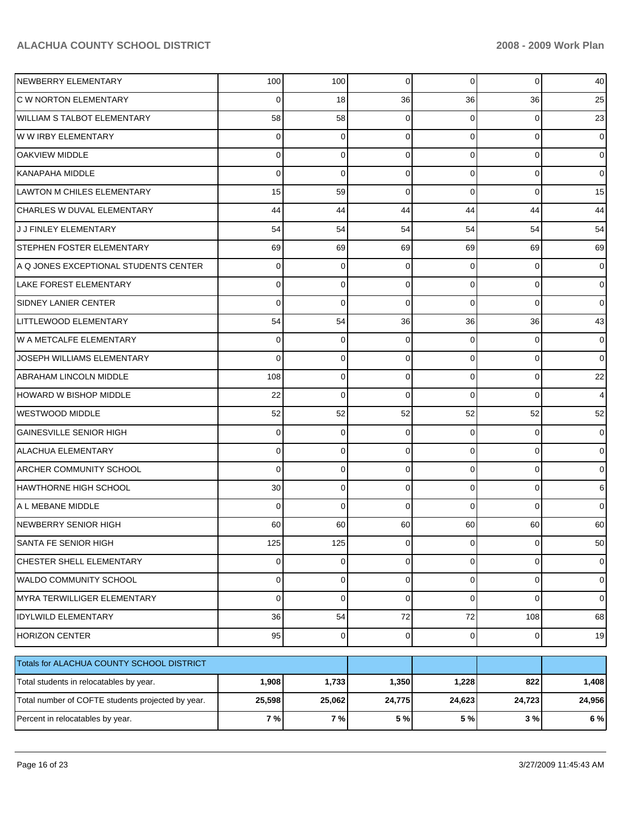| NEWBERRY ELEMENTARY                               | 100      | 100         | 0           | $\Omega$       | $\mathbf 0$ | 40             |
|---------------------------------------------------|----------|-------------|-------------|----------------|-------------|----------------|
| <b>C W NORTON ELEMENTARY</b>                      | 0        | 18          | 36          | 36             | 36          | 25             |
| WILLIAM S TALBOT ELEMENTARY                       | 58       | 58          | 0           | 0              | 0           | 23             |
| W W IRBY ELEMENTARY                               | 0        | 0           | 0           | $\Omega$       | $\mathbf 0$ | $\overline{0}$ |
| <b>OAKVIEW MIDDLE</b>                             | 0        | 0           | 0           | $\Omega$       | $\mathbf 0$ | $\overline{0}$ |
| KANAPAHA MIDDLE                                   | 0        | $\mathbf 0$ | 0           | $\Omega$       | $\mathbf 0$ | $\overline{0}$ |
| LAWTON M CHILES ELEMENTARY                        | 15       | 59          | 0           | $\Omega$       | $\mathbf 0$ | 15             |
| CHARLES W DUVAL ELEMENTARY                        | 44       | 44          | 44          | 44             | 44          | 44             |
| <b>JJ FINLEY ELEMENTARY</b>                       | 54       | 54          | 54          | 54             | 54          | 54             |
| <b>STEPHEN FOSTER ELEMENTARY</b>                  | 69       | 69          | 69          | 69             | 69          | 69             |
| A Q JONES EXCEPTIONAL STUDENTS CENTER             | 0        | 0           | 0           | 0              | 0           | $\overline{0}$ |
| LAKE FOREST ELEMENTARY                            | 0        | 0           | 0           | $\Omega$       | $\mathbf 0$ | $\overline{0}$ |
| <b>SIDNEY LANIER CENTER</b>                       | 0        | 0           | 0           | $\Omega$       | $\mathbf 0$ | $\overline{0}$ |
| LITTLEWOOD ELEMENTARY                             | 54       | 54          | 36          | 36             | 36          | 43             |
| lw a metcalfe elementary                          | 0        | 0           | 0           | 0              | $\mathbf 0$ | $\overline{0}$ |
| JOSEPH WILLIAMS ELEMENTARY                        | 0        | 0           | 0           | $\Omega$       | $\mathbf 0$ | $\overline{0}$ |
| <b>ABRAHAM LINCOLN MIDDLE</b>                     | 108      | 0           | 0           | $\Omega$       | $\mathbf 0$ | 22             |
| <b>HOWARD W BISHOP MIDDLE</b>                     | 22       | $\mathbf 0$ | $\mathbf 0$ | $\Omega$       | $\mathbf 0$ | $\overline{4}$ |
| WESTWOOD MIDDLE                                   | 52       | 52          | 52          | 52             | 52          | 52             |
| GAINESVILLE SENIOR HIGH                           | $\Omega$ | 0           | 0           | $\Omega$       | 0           | $\overline{0}$ |
| ALACHUA ELEMENTARY                                | 0        | 0           | 0           | $\Omega$       | $\mathbf 0$ | $\overline{0}$ |
| <b>ARCHER COMMUNITY SCHOOL</b>                    | 0        | 0           | 0           | $\Omega$       | $\mathbf 0$ | $\overline{0}$ |
| IHAWTHORNE HIGH SCHOOL                            | 30       | 0           | 0           | $\Omega$       | $\mathbf 0$ | 6              |
| A L MEBANE MIDDLE                                 | $\Omega$ | 0           | 0           | $\Omega$       | $\mathbf 0$ | $\overline{0}$ |
| INEWBERRY SENIOR HIGH                             | 60       | 60          | 60          | 60             | 60          | 60             |
| SANTA FE SENIOR HIGH                              | 125      | 125         | 0           | $\overline{0}$ | $\pmb{0}$   | 50             |
| CHESTER SHELL ELEMENTARY                          | 0        | 0           | $\mathbf 0$ | $\overline{0}$ | 0           | $\overline{0}$ |
| WALDO COMMUNITY SCHOOL                            | $\Omega$ | 0           | $\mathbf 0$ | $\mathbf 0$    | $\mathbf 0$ | $\overline{0}$ |
| MYRA TERWILLIGER ELEMENTARY                       | $\Omega$ | $\mathbf 0$ | $\mathbf 0$ | $\Omega$       | $\mathbf 0$ | $\overline{0}$ |
| <b>IDYLWILD ELEMENTARY</b>                        | 36       | 54          | $72\,$      | $72\,$         | 108         | 68             |
| HORIZON CENTER                                    | 95       | 0           | $\mathbf 0$ | $\overline{0}$ | 0           | 19             |
| Totals for ALACHUA COUNTY SCHOOL DISTRICT         |          |             |             |                |             |                |
| Total students in relocatables by year.           | 1,908    | 1,733       | 1,350       | 1,228          | 822         | 1,408          |
| Total number of COFTE students projected by year. | 25,598   | 25,062      | 24,775      | 24,623         | 24,723      | 24,956         |
| Percent in relocatables by year.                  | 7%       | 7 %         | 5 %         | 5 %            | $3\%$       | 6 %            |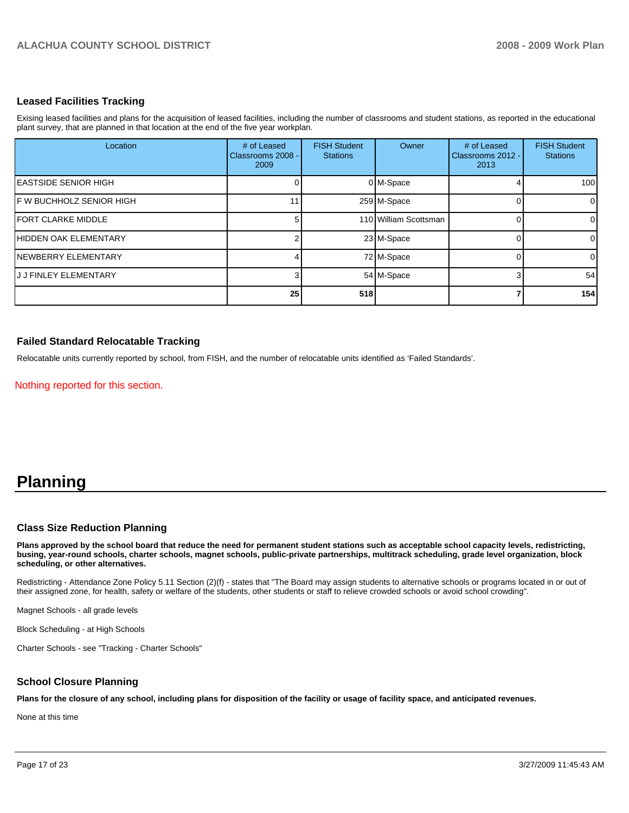#### **Leased Facilities Tracking**

Exising leased facilities and plans for the acquisition of leased facilities, including the number of classrooms and student stations, as reported in the educational plant survey, that are planned in that location at the end of the five year workplan.

| Location                     | # of Leased<br>Classrooms 2008 -<br>2009 | <b>FISH Student</b><br><b>Stations</b> | Owner                 | # of Leased<br>Classrooms 2012 -<br>2013 | <b>FISH Student</b><br><b>Stations</b> |
|------------------------------|------------------------------------------|----------------------------------------|-----------------------|------------------------------------------|----------------------------------------|
| <b>IEASTSIDE SENIOR HIGH</b> |                                          |                                        | 0 M-Space             |                                          | 100                                    |
| IF W BUCHHOLZ SENIOR HIGH    |                                          |                                        | 259 M-Space           |                                          | $\overline{0}$                         |
| <b>IFORT CLARKE MIDDLE</b>   |                                          |                                        | 110 William Scottsman |                                          | $\overline{0}$                         |
| HIDDEN OAK ELEMENTARY        |                                          |                                        | 23 M-Space            |                                          | $\overline{0}$                         |
| INEWBERRY ELEMENTARY         |                                          |                                        | 72 M-Space            |                                          | $\overline{0}$                         |
| <b>JJJ FINLEY ELEMENTARY</b> |                                          |                                        | 54 M-Space            |                                          | 54                                     |
|                              | 25                                       | 518                                    |                       |                                          | 154                                    |

#### **Failed Standard Relocatable Tracking**

Relocatable units currently reported by school, from FISH, and the number of relocatable units identified as 'Failed Standards'.

Nothing reported for this section.

# **Planning**

#### **Class Size Reduction Planning**

**Plans approved by the school board that reduce the need for permanent student stations such as acceptable school capacity levels, redistricting, busing, year-round schools, charter schools, magnet schools, public-private partnerships, multitrack scheduling, grade level organization, block scheduling, or other alternatives.** 

Redistricting - Attendance Zone Policy 5.11 Section (2)(f) - states that "The Board may assign students to alternative schools or programs located in or out of their assigned zone, for health, safety or welfare of the students, other students or staff to relieve crowded schools or avoid school crowding".

Magnet Schools - all grade levels

Block Scheduling - at High Schools��

Charter Schools - see "Tracking - Charter Schools"

#### **School Closure Planning**

**Plans for the closure of any school, including plans for disposition of the facility or usage of facility space, and anticipated revenues.** 

None at this time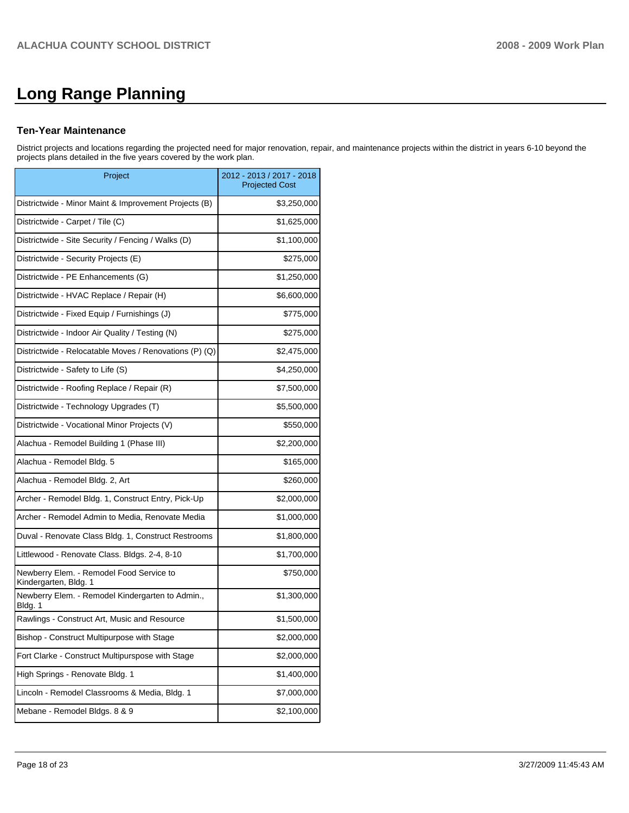# **Long Range Planning**

#### **Ten-Year Maintenance**

District projects and locations regarding the projected need for major renovation, repair, and maintenance projects within the district in years 6-10 beyond the projects plans detailed in the five years covered by the work plan.

| Project                                                           | 2012 - 2013 / 2017 - 2018<br><b>Projected Cost</b> |
|-------------------------------------------------------------------|----------------------------------------------------|
| Districtwide - Minor Maint & Improvement Projects (B)             | \$3,250,000                                        |
| Districtwide - Carpet / Tile (C)                                  | \$1,625,000                                        |
| Districtwide - Site Security / Fencing / Walks (D)                | \$1,100,000                                        |
| Districtwide - Security Projects (E)                              | \$275,000                                          |
| Districtwide - PE Enhancements (G)                                | \$1,250,000                                        |
| Districtwide - HVAC Replace / Repair (H)                          | \$6,600,000                                        |
| Districtwide - Fixed Equip / Furnishings (J)                      | \$775,000                                          |
| Districtwide - Indoor Air Quality / Testing (N)                   | \$275,000                                          |
| Districtwide - Relocatable Moves / Renovations (P) (Q)            | \$2,475,000                                        |
| Districtwide - Safety to Life (S)                                 | \$4,250,000                                        |
| Districtwide - Roofing Replace / Repair (R)                       | \$7,500,000                                        |
| Districtwide - Technology Upgrades (T)                            | \$5,500,000                                        |
| Districtwide - Vocational Minor Projects (V)                      | \$550,000                                          |
| Alachua - Remodel Building 1 (Phase III)                          | \$2,200,000                                        |
| Alachua - Remodel Bldg. 5                                         | \$165,000                                          |
| Alachua - Remodel Bldg. 2, Art                                    | \$260,000                                          |
| Archer - Remodel Bldg. 1, Construct Entry, Pick-Up                | \$2,000,000                                        |
| Archer - Remodel Admin to Media, Renovate Media                   | \$1,000,000                                        |
| Duval - Renovate Class Bldg. 1, Construct Restrooms               | \$1,800,000                                        |
| Littlewood - Renovate Class. Bldgs. 2-4, 8-10                     | \$1,700,000                                        |
| Newberry Elem. - Remodel Food Service to<br>Kindergarten, Bldg. 1 | \$750,000                                          |
| Newberry Elem. - Remodel Kindergarten to Admin.,<br>Bldg. 1       | \$1,300,000                                        |
| Rawlings - Construct Art, Music and Resource                      | \$1,500,000                                        |
| Bishop - Construct Multipurpose with Stage                        | \$2,000,000                                        |
| Fort Clarke - Construct Multipurspose with Stage                  | \$2,000,000                                        |
| High Springs - Renovate Bldg. 1                                   | \$1,400,000                                        |
| Lincoln - Remodel Classrooms & Media, Bldg. 1                     | \$7,000,000                                        |
| Mebane - Remodel Bldgs. 8 & 9                                     | \$2,100,000                                        |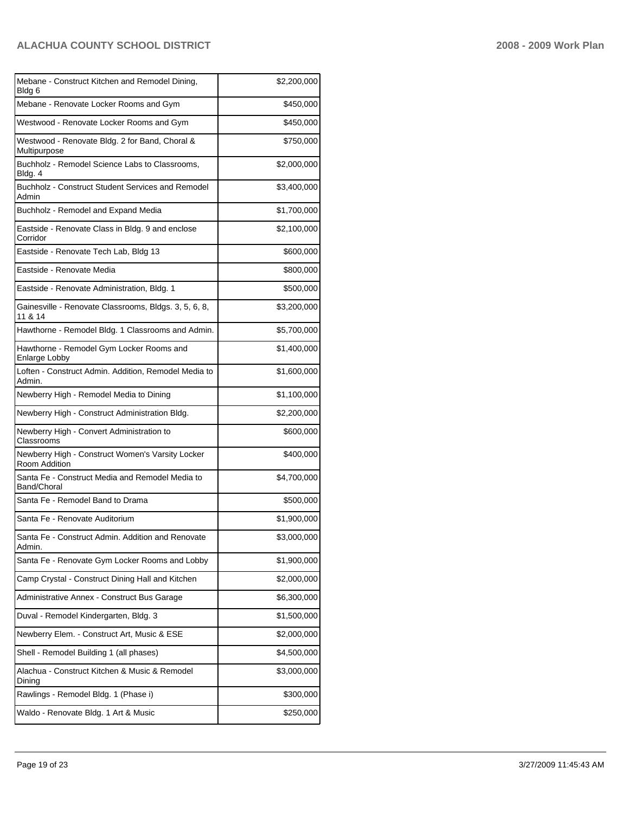| Mebane - Construct Kitchen and Remodel Dining,<br>Bldg 6          | \$2,200,000 |
|-------------------------------------------------------------------|-------------|
| Mebane - Renovate Locker Rooms and Gym                            | \$450,000   |
| Westwood - Renovate Locker Rooms and Gym                          | \$450,000   |
| Westwood - Renovate Bldg. 2 for Band, Choral &<br>Multipurpose    | \$750,000   |
| Buchholz - Remodel Science Labs to Classrooms,<br>Bldg. 4         | \$2,000,000 |
| Buchholz - Construct Student Services and Remodel<br>Admin        | \$3,400,000 |
| Buchholz - Remodel and Expand Media                               | \$1,700,000 |
| Eastside - Renovate Class in Bldg. 9 and enclose<br>Corridor      | \$2,100,000 |
| Eastside - Renovate Tech Lab, Bldg 13                             | \$600,000   |
| Eastside - Renovate Media                                         | \$800,000   |
| Eastside - Renovate Administration, Bldg. 1                       | \$500,000   |
| Gainesville - Renovate Classrooms, Bldgs. 3, 5, 6, 8,<br>11 & 14  | \$3,200,000 |
| Hawthorne - Remodel Bldg. 1 Classrooms and Admin.                 | \$5,700,000 |
| Hawthorne - Remodel Gym Locker Rooms and<br>Enlarge Lobby         | \$1,400,000 |
| Loften - Construct Admin. Addition, Remodel Media to<br>Admin.    | \$1,600,000 |
| Newberry High - Remodel Media to Dining                           | \$1,100,000 |
| Newberry High - Construct Administration Bldg.                    | \$2,200,000 |
| Newberry High - Convert Administration to<br>Classrooms           | \$600,000   |
| Newberry High - Construct Women's Varsity Locker<br>Room Addition | \$400,000   |
| Santa Fe - Construct Media and Remodel Media to<br>Band/Choral    | \$4,700,000 |
| Santa Fe - Remodel Band to Drama                                  | \$500,000   |
| Santa Fe - Renovate Auditorium                                    | \$1,900,000 |
| Santa Fe - Construct Admin. Addition and Renovate<br>Admin.       | \$3,000,000 |
| Santa Fe - Renovate Gym Locker Rooms and Lobby                    | \$1,900,000 |
| Camp Crystal - Construct Dining Hall and Kitchen                  | \$2,000,000 |
| Administrative Annex - Construct Bus Garage                       | \$6,300,000 |
| Duval - Remodel Kindergarten, Bldg. 3                             | \$1,500,000 |
| Newberry Elem. - Construct Art, Music & ESE                       | \$2,000,000 |
| Shell - Remodel Building 1 (all phases)                           | \$4,500,000 |
| Alachua - Construct Kitchen & Music & Remodel<br>Dining           | \$3,000,000 |
| Rawlings - Remodel Bldg. 1 (Phase i)                              | \$300,000   |
| Waldo - Renovate Bldg. 1 Art & Music                              | \$250,000   |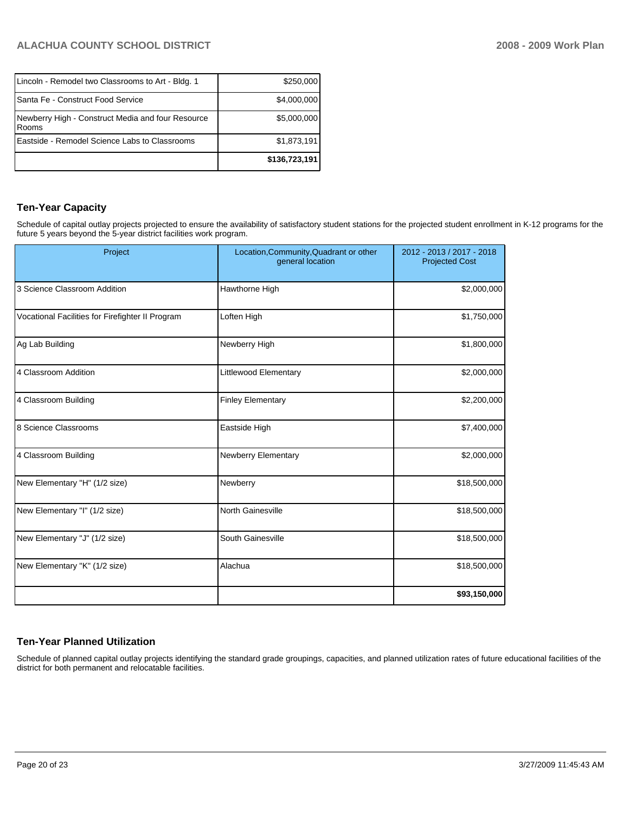| Lincoln - Remodel two Classrooms to Art - Bldg. 1            | \$250,000     |
|--------------------------------------------------------------|---------------|
| Santa Fe - Construct Food Service                            | \$4,000,000   |
| Newberry High - Construct Media and four Resource<br>l Rooms | \$5,000,000   |
| Eastside - Remodel Science Labs to Classrooms                | \$1,873,191   |
|                                                              | \$136,723,191 |

## **Ten-Year Capacity**

Schedule of capital outlay projects projected to ensure the availability of satisfactory student stations for the projected student enrollment in K-12 programs for the future 5 years beyond the 5-year district facilities work program.

| Project                                          | Location, Community, Quadrant or other<br>general location | 2012 - 2013 / 2017 - 2018<br><b>Projected Cost</b> |  |
|--------------------------------------------------|------------------------------------------------------------|----------------------------------------------------|--|
| 3 Science Classroom Addition                     | Hawthorne High                                             | \$2,000,000                                        |  |
| Vocational Facilities for Firefighter II Program | Loften High                                                | \$1,750,000                                        |  |
| Ag Lab Building                                  | Newberry High                                              | \$1,800,000                                        |  |
| 4 Classroom Addition                             | Littlewood Elementary                                      | \$2,000,000                                        |  |
| 4 Classroom Building                             | <b>Finley Elementary</b>                                   | \$2,200,000                                        |  |
| 8 Science Classrooms                             | Eastside High                                              | \$7,400,000                                        |  |
| 4 Classroom Building                             | Newberry Elementary                                        | \$2,000,000                                        |  |
| New Elementary "H" (1/2 size)                    | Newberry                                                   | \$18,500,000                                       |  |
| New Elementary "I" (1/2 size)                    | <b>North Gainesville</b>                                   | \$18,500,000                                       |  |
| New Elementary "J" (1/2 size)                    | South Gainesville                                          | \$18,500,000                                       |  |
| New Elementary "K" (1/2 size)                    | Alachua                                                    | \$18,500,000                                       |  |
|                                                  |                                                            | \$93,150,000                                       |  |

# **Ten-Year Planned Utilization**

Schedule of planned capital outlay projects identifying the standard grade groupings, capacities, and planned utilization rates of future educational facilities of the district for both permanent and relocatable facilities.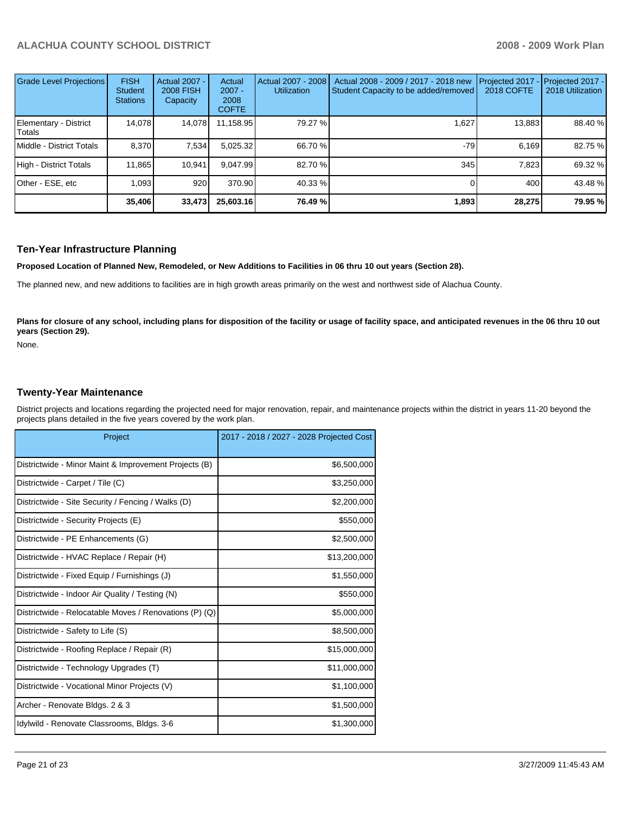| Grade Level Projections         | <b>FISH</b><br>Student<br><b>Stations</b> | <b>Actual 2007 -</b><br><b>2008 FISH</b><br>Capacity | Actual<br>$2007 -$<br>2008<br><b>COFTE</b> | Actual 2007 - 2008<br><b>Utilization</b> | Actual 2008 - 2009 / 2017 - 2018 new<br>Student Capacity to be added/removed | Projected 2017<br>2018 COFTE | Projected 2017 -<br>2018 Utilization |
|---------------------------------|-------------------------------------------|------------------------------------------------------|--------------------------------------------|------------------------------------------|------------------------------------------------------------------------------|------------------------------|--------------------------------------|
| Elementary - District<br>Totals | 14.078                                    | 14,078                                               | 11,158.95                                  | 79.27 %                                  | 1,627                                                                        | 13,883                       | 88.40 %                              |
| Middle - District Totals        | 8.370                                     | 7,534                                                | 5,025.32                                   | 66.70 %                                  | -79                                                                          | 6.169                        | 82.75 %                              |
| High - District Totals          | 11.865                                    | 10,941                                               | 9.047.99                                   | 82.70 %                                  | 345                                                                          | 7.823                        | 69.32 %                              |
| Other - ESE, etc                | 1.093                                     | 920                                                  | 370.90                                     | 40.33 %                                  |                                                                              | 400                          | 43.48 %                              |
|                                 | 35,406                                    | 33,473                                               | 25,603.16                                  | 76.49 %                                  | 1,893                                                                        | 28,275                       | 79.95 %                              |

#### **Ten-Year Infrastructure Planning**

**Proposed Location of Planned New, Remodeled, or New Additions to Facilities in 06 thru 10 out years (Section 28).** 

The planned new, and new additions to facilities are in high growth areas primarily on the west and northwest side of Alachua County.

Plans for closure of any school, including plans for disposition of the facility or usage of facility space, and anticipated revenues in the 06 thru 10 out **years (Section 29).** 

None.

#### **Twenty-Year Maintenance**

District projects and locations regarding the projected need for major renovation, repair, and maintenance projects within the district in years 11-20 beyond the projects plans detailed in the five years covered by the work plan.

| Project                                                | 2017 - 2018 / 2027 - 2028 Projected Cost |
|--------------------------------------------------------|------------------------------------------|
| Districtwide - Minor Maint & Improvement Projects (B)  | \$6,500,000                              |
| Districtwide - Carpet / Tile (C)                       | \$3,250,000                              |
| Districtwide - Site Security / Fencing / Walks (D)     | \$2,200,000                              |
| Districtwide - Security Projects (E)                   | \$550,000                                |
| Districtwide - PE Enhancements (G)                     | \$2,500,000                              |
| Districtwide - HVAC Replace / Repair (H)               | \$13,200,000                             |
| Districtwide - Fixed Equip / Furnishings (J)           | \$1,550,000                              |
| Districtwide - Indoor Air Quality / Testing (N)        | \$550,000                                |
| Districtwide - Relocatable Moves / Renovations (P) (Q) | \$5,000,000                              |
| Districtwide - Safety to Life (S)                      | \$8,500,000                              |
| Districtwide - Roofing Replace / Repair (R)            | \$15,000,000                             |
| Districtwide - Technology Upgrades (T)                 | \$11,000,000                             |
| Districtwide - Vocational Minor Projects (V)           | \$1,100,000                              |
| Archer - Renovate Bldgs. 2 & 3                         | \$1,500,000                              |
| Idylwild - Renovate Classrooms, Bldgs. 3-6             | \$1,300,000                              |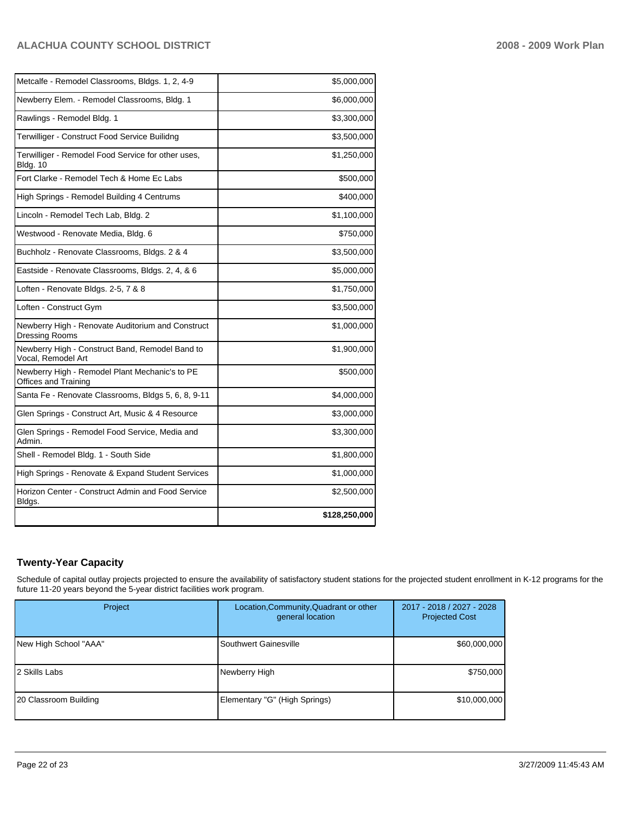| Metcalfe - Remodel Classrooms, Bldgs. 1, 2, 4-9                               | \$5,000,000   |
|-------------------------------------------------------------------------------|---------------|
| Newberry Elem. - Remodel Classrooms, Bldg. 1                                  | \$6,000,000   |
| Rawlings - Remodel Bldg. 1                                                    | \$3,300,000   |
| Terwilliger - Construct Food Service Builidng                                 | \$3,500,000   |
| Terwilliger - Remodel Food Service for other uses,<br><b>Bldg. 10</b>         | \$1,250,000   |
| Fort Clarke - Remodel Tech & Home Ec Labs                                     | \$500,000     |
| High Springs - Remodel Building 4 Centrums                                    | \$400,000     |
| Lincoln - Remodel Tech Lab, Bldg. 2                                           | \$1,100,000   |
| Westwood - Renovate Media, Bldg. 6                                            | \$750,000     |
| Buchholz - Renovate Classrooms, Bldgs. 2 & 4                                  | \$3,500,000   |
| Eastside - Renovate Classrooms, Bldgs. 2, 4, & 6                              | \$5,000,000   |
| Loften - Renovate Bldgs. 2-5, 7 & 8                                           | \$1,750,000   |
| Loften - Construct Gym                                                        | \$3,500,000   |
| Newberry High - Renovate Auditorium and Construct<br><b>Dressing Rooms</b>    | \$1,000,000   |
| Newberry High - Construct Band, Remodel Band to<br>Vocal, Remodel Art         | \$1,900,000   |
| Newberry High - Remodel Plant Mechanic's to PE<br><b>Offices and Training</b> | \$500,000     |
| Santa Fe - Renovate Classrooms, Bldgs 5, 6, 8, 9-11                           | \$4,000,000   |
| Glen Springs - Construct Art, Music & 4 Resource                              | \$3,000,000   |
| Glen Springs - Remodel Food Service, Media and<br>Admin.                      | \$3,300,000   |
| Shell - Remodel Bldg. 1 - South Side                                          | \$1,800,000   |
| High Springs - Renovate & Expand Student Services                             | \$1,000,000   |
| Horizon Center - Construct Admin and Food Service<br>Bldgs.                   | \$2,500,000   |
|                                                                               | \$128,250,000 |

# **Twenty-Year Capacity**

Schedule of capital outlay projects projected to ensure the availability of satisfactory student stations for the projected student enrollment in K-12 programs for the future 11-20 years beyond the 5-year district facilities work program.

| Project               | Location, Community, Quadrant or other<br>general location | 2017 - 2018 / 2027 - 2028<br><b>Projected Cost</b> |
|-----------------------|------------------------------------------------------------|----------------------------------------------------|
| New High School "AAA" | Southwert Gainesville                                      | \$60,000,000                                       |
| 12 Skills Labs        | Newberry High                                              | \$750,000                                          |
| 20 Classroom Building | Elementary "G" (High Springs)                              | \$10,000,000                                       |